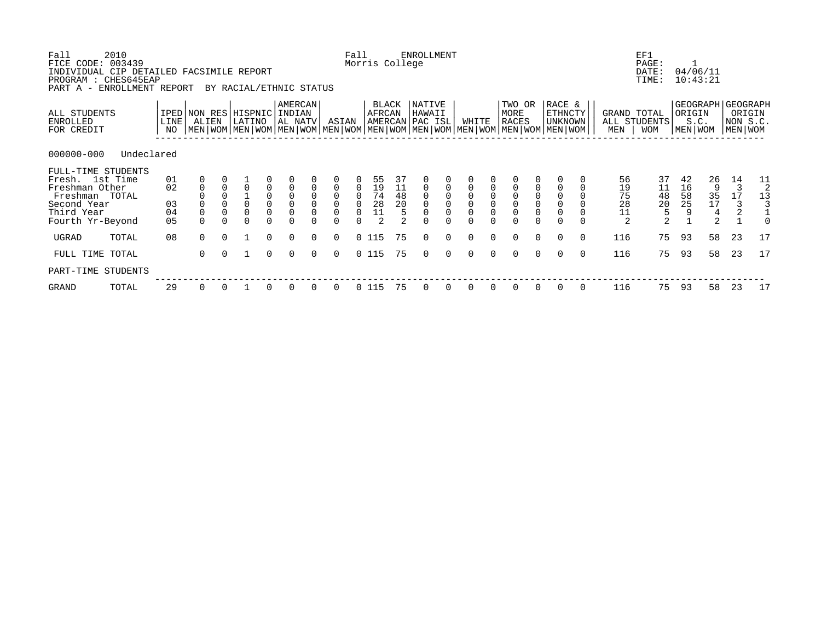| Fall<br>FICE CODE: 003439<br>INDIVIDUAL CIP DETAILED FACSIMILE REPORT<br>PROGRAM : CHES645EAP<br>PART A - ENROLLMENT REPORT | 2010       |                            |                               |             | BY RACIAL/ETHNIC STATUS |                                                                  |                              |                                     |                                             | Fall<br>Morris College            |                            |                             | ENROLLMENT                                                                                                                                         |                                            |                                                     |                            |                                            |            |                                            |          |                                                     | EF1<br>PAGE:<br>DATE:<br>TIME:                           | 04/06/11                    | 10:43:21                |                                                          |                           |
|-----------------------------------------------------------------------------------------------------------------------------|------------|----------------------------|-------------------------------|-------------|-------------------------|------------------------------------------------------------------|------------------------------|-------------------------------------|---------------------------------------------|-----------------------------------|----------------------------|-----------------------------|----------------------------------------------------------------------------------------------------------------------------------------------------|--------------------------------------------|-----------------------------------------------------|----------------------------|--------------------------------------------|------------|--------------------------------------------|----------|-----------------------------------------------------|----------------------------------------------------------|-----------------------------|-------------------------|----------------------------------------------------------|---------------------------|
| ALL STUDENTS<br>ENROLLED<br>FOR CREDIT                                                                                      |            | LINE  <br>NO               | IPED NON RES HISPNIC<br>ALIEN |             | LATINO                  |                                                                  | AMERCAN<br>INDIAN<br>AL NATV |                                     | ASIAN                                       |                                   | BLACK<br>AFRCAN            |                             | NATIVE<br>HAWAII<br>AMERCAN PAC ISL<br>  MEN   WOM   MEN   WOM   MEN   WOM   MEN   WOM   MEN   WOM   MEN   WOM   MEN   WOM   MEN   WOM   MEN   WOM |                                            | WHITE                                               |                            | TWO OR<br>MORE<br>RACES                    |            | RACE &<br><b>ETHNCTY</b><br><b>UNKNOWN</b> |          | GRAND TOTAL<br>MEN                                  | ALL STUDENTS<br>WOM                                      | ORIGIN<br>S.C.<br>MEN WOM   |                         | GEOGRAPH   GEOGRAPH<br>ORIGIN<br>NON S.C.<br>  MEN   WOM |                           |
| $000000 - 000$                                                                                                              | Undeclared |                            |                               |             |                         |                                                                  |                              |                                     |                                             |                                   |                            |                             |                                                                                                                                                    |                                            |                                                     |                            |                                            |            |                                            |          |                                                     |                                                          |                             |                         |                                                          |                           |
| FULL-TIME STUDENTS<br>Fresh. 1st Time<br>Freshman Other<br>Freshman TOTAL<br>Second Year<br>Third Year<br>Fourth Yr-Beyond  |            | 01<br>02<br>03<br>04<br>05 | $\mathbf 0$<br>$\mathbf 0$    | $\mathbf 0$ | $\overline{0}$          | $_{\rm 0}^{\rm 0}$<br>$\mathsf{O}\xspace$<br>$\mathsf{O}\xspace$ | 0<br>$\mathbf 0$             | $\Omega$<br>$\Omega$<br>$\mathbf 0$ | $\overline{0}$<br>$\Omega$<br>0<br>$\Omega$ | $_0^0$<br>$\Omega$<br>$\mathbf 0$ | 55<br>19<br>74<br>28<br>11 | 37<br>$\frac{11}{48}$<br>20 | $\begin{smallmatrix} 0\\0 \end{smallmatrix}$<br>$\mathbf 0$                                                                                        | $\begin{smallmatrix}0\\0\end{smallmatrix}$ | $\begin{matrix} 0 \\ 0 \end{matrix}$<br>$\mathbf 0$ | $\overline{O}$<br>$\Omega$ | $\begin{smallmatrix}0\\0\end{smallmatrix}$ | $_{0}^{0}$ | $\Omega$                                   |          | 56<br>$\frac{19}{75}$<br>28<br>11<br>$\overline{2}$ | 37<br>$\begin{array}{c} 11 \\ 48 \\ 20 \end{array}$<br>5 | 42<br>16<br>$\frac{58}{25}$ | 26<br>9<br>$35$<br>$17$ | 14<br>3<br>17<br>3<br>$\overline{2}$                     | 11<br>2<br>13<br>$\Omega$ |
| UGRAD                                                                                                                       | TOTAL      | 08                         | $\Omega$                      | $\Omega$    |                         | $\Omega$                                                         | $\Omega$                     | $\Omega$                            | $\Omega$                                    | 0115                              |                            | 75                          | $\Omega$                                                                                                                                           | $\Omega$                                   | $\Omega$                                            | $\Omega$                   | $\Omega$                                   | $\Omega$   | $\Omega$                                   | $\Omega$ | 116                                                 | 75                                                       | 93                          | 58                      | 23                                                       | 17                        |
| FULL TIME TOTAL<br>PART-TIME STUDENTS                                                                                       |            |                            | $\Omega$                      | $\Omega$    |                         | $\Omega$                                                         | $\Omega$                     | $\Omega$                            | 0                                           | 0 115                             |                            | 75                          | $\Omega$                                                                                                                                           | $\Omega$                                   | $\Omega$                                            | $\Omega$                   | $\Omega$                                   | $\Omega$   | $\Omega$                                   | $\Omega$ | 116                                                 | 75                                                       | 93                          | 58                      | 23                                                       | 17                        |
| GRAND                                                                                                                       | TOTAL      | 29                         | 0                             |             |                         |                                                                  | $\Omega$                     |                                     | $\Omega$                                    | 0 115                             |                            | 75                          | $\Omega$                                                                                                                                           |                                            | $\Omega$                                            |                            |                                            |            |                                            |          | 116                                                 | 75                                                       | 93                          | 58                      | 23                                                       | 17                        |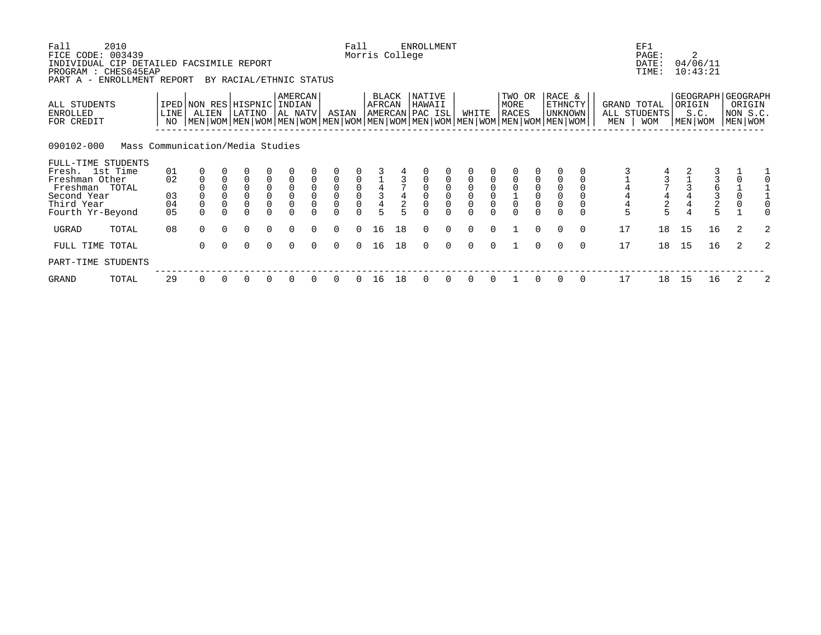| Fall<br>FICE CODE:                                                           | 2010<br>003439                   |            |             |          |                                                                                                                                                      |                                            |                    |          |                                      | Fall     | Morris College         |    | <b>ENROLLMENT</b>                   |          |          |          |                         |          |                              |          |                    | EF1<br>PAGE:                               |                   | 2                    |                                                  |   |
|------------------------------------------------------------------------------|----------------------------------|------------|-------------|----------|------------------------------------------------------------------------------------------------------------------------------------------------------|--------------------------------------------|--------------------|----------|--------------------------------------|----------|------------------------|----|-------------------------------------|----------|----------|----------|-------------------------|----------|------------------------------|----------|--------------------|--------------------------------------------|-------------------|----------------------|--------------------------------------------------|---|
| INDIVIDUAL CIP DETAILED FACSIMILE REPORT<br>PROGRAM : CHES645EAP<br>PART A - | ENROLLMENT REPORT                |            |             |          | BY RACIAL/ETHNIC STATUS                                                                                                                              |                                            |                    |          |                                      |          |                        |    |                                     |          |          |          |                         |          |                              |          |                    | DATE:<br>TIME:                             |                   | 04/06/11<br>10:43:21 |                                                  |   |
| ALL STUDENTS<br>ENROLLED<br>FOR CREDIT                                       |                                  | LINE<br>NO | ALIEN       |          | IPED NON RES HISPNIC INDIAN<br>LATINO<br>  MEN   WOM   MEN   WOM   MEN   WOM   MEN   WOM   MEN   WOM   MEN   WOM   MEN   WOM   MEN   WOM   MEN   WOM |                                            | AMERCAN<br>AL NATV |          | ASIAN                                |          | <b>BLACK</b><br>AFRCAN |    | NATIVE<br>HAWAII<br>AMERCAN PAC ISL |          | WHITE    |          | TWO OR<br>MORE<br>RACES |          | RACE &<br>ETHNCTY<br>UNKNOWN |          | GRAND TOTAL<br>MEN | ALL STUDENTS<br><b>WOM</b>                 | ORIGIN<br>MEN WOM | GEOGRAPH<br>S.C.     | <b>GEOGRAPH</b><br>ORIGIN<br>NON S.C.<br>MEN WOM |   |
| 090102-000                                                                   | Mass Communication/Media Studies |            |             |          |                                                                                                                                                      |                                            |                    |          |                                      |          |                        |    |                                     |          |          |          |                         |          |                              |          |                    |                                            |                   |                      |                                                  |   |
| FULL-TIME STUDENTS<br>Fresh. 1st Time                                        |                                  | 01         |             |          |                                                                                                                                                      |                                            |                    |          |                                      |          |                        |    |                                     |          |          |          |                         |          |                              |          |                    |                                            |                   |                      |                                                  |   |
| Freshman Other                                                               |                                  | 02         | $\mathbf 0$ |          | $\overline{0}$                                                                                                                                       |                                            |                    |          | $\mathbf 0$                          |          |                        |    |                                     |          |          |          |                         |          |                              |          |                    |                                            |                   |                      |                                                  |   |
| Freshman TOTAL                                                               |                                  |            |             |          |                                                                                                                                                      | $\begin{smallmatrix}0\\0\end{smallmatrix}$ | $_{\rm 0}^{\rm 0}$ |          | $\begin{matrix} 0 \\ 0 \end{matrix}$ |          | $\frac{4}{3}$          |    |                                     |          |          |          |                         |          |                              |          |                    |                                            |                   | $\frac{6}{3}$        |                                                  |   |
| Second Year<br>Third Year                                                    |                                  | 03<br>04   | $\mathbf 0$ | 0        | $\Omega$                                                                                                                                             | 0                                          | $\overline{0}$     |          | $\overline{0}$                       | 0        |                        |    |                                     |          |          | $\Omega$ | $\Omega$                |          | $\overline{0}$               |          | 4                  |                                            |                   |                      | $\overline{0}$<br>$\mathsf{O}\xspace$            |   |
| Fourth Yr-Beyond                                                             |                                  | 05         |             |          |                                                                                                                                                      |                                            |                    |          |                                      |          |                        |    |                                     |          |          |          |                         |          |                              |          | 4<br>5             | $\begin{array}{c} 4 \\ 2 \\ 5 \end{array}$ |                   |                      |                                                  |   |
| UGRAD                                                                        | TOTAL                            | 08         | $\Omega$    | $\Omega$ | $\Omega$                                                                                                                                             | $\Omega$                                   | $\Omega$           | $\Omega$ | $\Omega$                             | $\Omega$ | 16                     | 18 | $\Omega$                            | $\Omega$ | $\Omega$ | $\Omega$ |                         | $\Omega$ | $\Omega$                     | $\Omega$ | 17                 | 18                                         | 15                | 16                   | 2                                                | 2 |
| FULL TIME TOTAL                                                              |                                  |            | 0           | $\Omega$ | $\Omega$                                                                                                                                             | $\Omega$                                   | $\Omega$           | $\Omega$ | $\Omega$                             | $\Omega$ | 16                     | 18 | $\Omega$                            | $\Omega$ | $\Omega$ | $\cap$   |                         | $\Omega$ | $\Omega$                     | $\Omega$ | 17                 | 18                                         | 15                | 16                   | 2                                                | 2 |
| PART-TIME STUDENTS                                                           |                                  |            |             |          |                                                                                                                                                      |                                            |                    |          |                                      |          |                        |    |                                     |          |          |          |                         |          |                              |          |                    |                                            |                   |                      |                                                  |   |
| GRAND                                                                        | TOTAL                            | 29         | $\Omega$    |          | $\Omega$                                                                                                                                             | $\Omega$                                   | $\Omega$           |          | O                                    |          | 16                     | 18 |                                     |          |          |          |                         |          |                              |          | 17                 | 18                                         | 15                | 16                   |                                                  | 2 |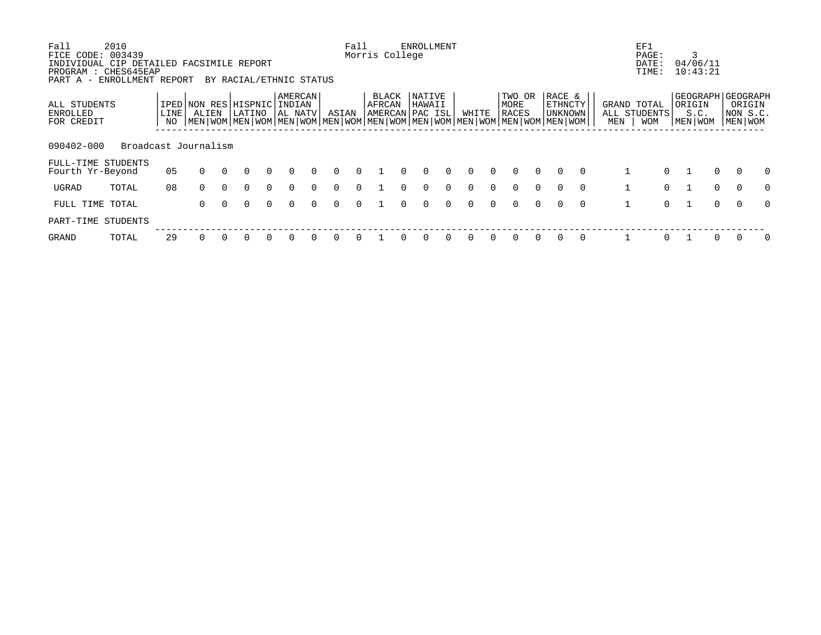| Fall                                   | 2010                                                                       |            |                                                                                                                   |          |                         |          |                              |          |          | Fall     |                                     |          | <b>ENROLLMENT</b> |          |          |          |                                |          |                              |          |     | EF1                                |          |                                                    |             |                               |              |
|----------------------------------------|----------------------------------------------------------------------------|------------|-------------------------------------------------------------------------------------------------------------------|----------|-------------------------|----------|------------------------------|----------|----------|----------|-------------------------------------|----------|-------------------|----------|----------|----------|--------------------------------|----------|------------------------------|----------|-----|------------------------------------|----------|----------------------------------------------------|-------------|-------------------------------|--------------|
| FICE CODE:                             | 003439<br>INDIVIDUAL CIP DETAILED FACSIMILE REPORT<br>PROGRAM : CHES645EAP |            |                                                                                                                   |          |                         |          |                              |          |          |          | Morris College                      |          |                   |          |          |          |                                |          |                              |          |     | PAGE:<br>DATE:<br>TIME:            |          | 3<br>04/06/11<br>10:43:21                          |             |                               |              |
| PART A -                               | ENROLLMENT REPORT                                                          |            |                                                                                                                   |          | BY RACIAL/ETHNIC STATUS |          |                              |          |          |          |                                     |          |                   |          |          |          |                                |          |                              |          |     |                                    |          |                                                    |             |                               |              |
| ALL STUDENTS<br>ENROLLED<br>FOR CREDIT |                                                                            | LINE<br>NO | IPED NON RES HISPNIC<br>ALIEN<br> MEN WOM MEN WOM MEN WOM MEN WOM MEN WOM MEN WOM MEN WOM MEN WOM MEN WOM MEN WOM |          | LATINO                  |          | AMERCAN<br>INDIAN<br>AL NATV |          | ASIAN    |          | BLACK<br>AFRCAN<br> AMERCAN PAC ISL |          | NATIVE<br>HAWAII  |          | WHITE    |          | TWO OR<br>MORE<br><b>RACES</b> |          | RACE &<br>ETHNCTY<br>UNKNOWN |          | MEN | GRAND TOTAL<br>ALL STUDENTS<br>WOM |          | GEOGRAPH   GEOGRAPH<br>  ORIGIN<br>S.C.<br>MEN WOM |             | ORIGIN<br>NON S.C.<br>MEN WOM |              |
| 090402-000                             | Broadcast Journalism                                                       |            |                                                                                                                   |          |                         |          |                              |          |          |          |                                     |          |                   |          |          |          |                                |          |                              |          |     |                                    |          |                                                    |             |                               |              |
| Fourth Yr-Beyond                       | FULL-TIME STUDENTS                                                         | 05         | $\Omega$                                                                                                          | $\Omega$ | $\Omega$                | $\Omega$ | $\Omega$                     | $\Omega$ | $\Omega$ | $\Omega$ |                                     | $\Omega$ | $\Omega$          | $\Omega$ | $\Omega$ | $\Omega$ | $\Omega$                       | $\Omega$ | $\Omega$                     | $\Omega$ |     |                                    | $\Omega$ |                                                    | $\Omega$    | $\Omega$                      | $\Omega$     |
| <b>UGRAD</b>                           | TOTAL                                                                      | 08         | $\Omega$                                                                                                          | $\Omega$ | $\Omega$                | $\Omega$ | $\Omega$                     | $\Omega$ | $\Omega$ | $\Omega$ |                                     | $\cap$   | $\Omega$          | $\Omega$ | $\Omega$ | $\Omega$ | $\Omega$                       | $\Omega$ | $\cap$                       | $\Omega$ |     |                                    | $\Omega$ | 1                                                  | $\mathbf 0$ | $\Omega$                      | $\Omega$     |
|                                        | FULL TIME TOTAL                                                            |            | $\Omega$                                                                                                          | $\Omega$ | $\Omega$                | $\Omega$ | $\Omega$                     | $\Omega$ | $\Omega$ | $\Omega$ |                                     | $\cap$   | $\Omega$          | $\Omega$ | $\Omega$ | $\Omega$ | $\Omega$                       | $\Omega$ | $\cap$                       | $\Omega$ |     |                                    | $\Omega$ | $\mathbf{1}$                                       | $\Omega$    | $\Omega$                      | $\Omega$     |
| PART-TIME                              | STUDENTS                                                                   |            |                                                                                                                   |          |                         |          |                              |          |          |          |                                     |          |                   |          |          |          |                                |          |                              |          |     |                                    |          |                                                    |             |                               |              |
| <b>GRAND</b>                           | TOTAL                                                                      | 29         |                                                                                                                   |          |                         |          |                              |          |          |          |                                     |          |                   |          |          |          |                                |          |                              |          |     |                                    | $\Omega$ |                                                    |             |                               | <sup>0</sup> |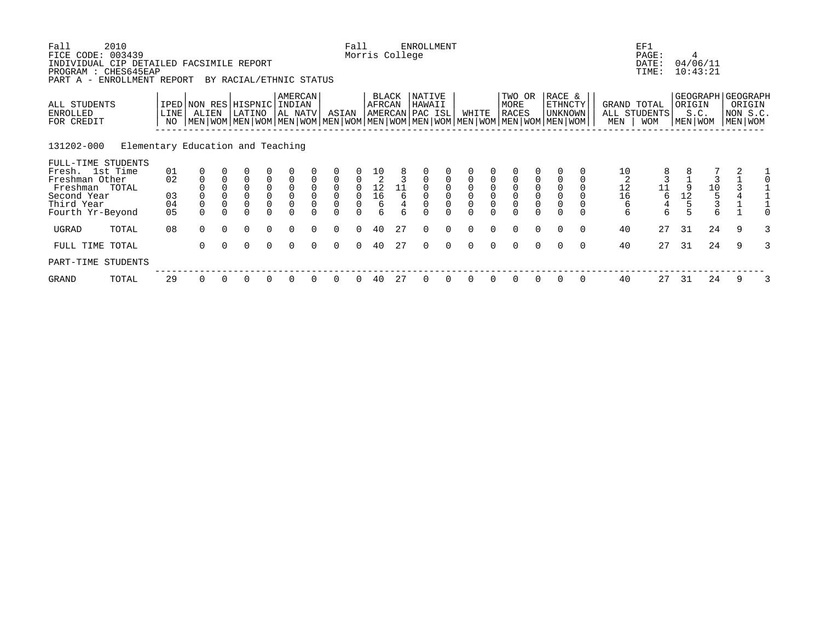| Fall<br>FICE CODE:<br>INDIVIDUAL CIP DETAILED FACSIMILE REPORT<br>PROGRAM : CHES645EAP | 2010<br>003439                    |            |                |          |                                                                                                                                                                          |                                     |                                       |                    |                                            | Fall          | Morris College                               |    | <b>ENROLLMENT</b>                   |          |          |                               |                                                        |                           |                                            |          |          | EF1<br>PAGE:<br>DATE:<br>TIME:            |                                        | 4<br>04/06/11<br>10:43:21                     |   |                                   |
|----------------------------------------------------------------------------------------|-----------------------------------|------------|----------------|----------|--------------------------------------------------------------------------------------------------------------------------------------------------------------------------|-------------------------------------|---------------------------------------|--------------------|--------------------------------------------|---------------|----------------------------------------------|----|-------------------------------------|----------|----------|-------------------------------|--------------------------------------------------------|---------------------------|--------------------------------------------|----------|----------|-------------------------------------------|----------------------------------------|-----------------------------------------------|---|-----------------------------------|
| PART A -<br>ALL STUDENTS<br>ENROLLED<br>FOR CREDIT                                     | ENROLLMENT REPORT                 | LINE<br>NO | ALIEN          |          | BY RACIAL/ETHNIC STATUS<br>IPED NON RES HISPNIC<br>LATINO<br>  MEN   WOM   MEN   WOM   MEN   WOM   MEN   WOM   MEN   WOM   MEN   WOM   MEN   WOM   MEN   WOM   MEN   WOM |                                     | <b>AMERCAN</b><br>  INDIAN<br>AL NATV |                    | ASIAN                                      |               | BLACK<br>AFRCAN                              |    | NATIVE<br>HAWAII<br>AMERCAN PAC ISL |          | WHITE    |                               | TWO OR<br>MORE<br><b>RACES</b>                         |                           | RACE &<br><b>ETHNCTY</b><br><b>UNKNOWN</b> |          | MEN      | GRAND TOTAL<br>ALL STUDENTS<br><b>WOM</b> | ORIGIN                                 | GEOGRAPH GEOGRAPH<br>S.C.<br>MEN   WOM        |   | ORIGIN<br>NON S.C.<br>  MEN   WOM |
| 131202-000<br>FULL-TIME STUDENTS                                                       | Elementary Education and Teaching |            |                |          |                                                                                                                                                                          |                                     |                                       |                    |                                            |               |                                              |    |                                     |          |          |                               |                                                        |                           |                                            |          |          |                                           |                                        |                                               |   |                                   |
| Fresh. 1st Time<br>Freshman Other<br>Freshman TOTAL                                    |                                   | 01<br>02   |                |          | $\overline{0}$<br>0                                                                                                                                                      |                                     |                                       |                    | $\overline{0}$                             | 0             | $\frac{10}{2}$                               | 11 | $\overline{0}$                      |          |          |                               |                                                        |                           |                                            |          | 10<br>12 | 11                                        |                                        |                                               |   |                                   |
| Second Year<br>Third Year                                                              |                                   | 03<br>04   | $\overline{0}$ |          | $\overline{0}$<br>$\Omega$                                                                                                                                               | $\begin{matrix}0\\0\\0\end{matrix}$ | $\overline{0}$                        | $_0^0$<br>$\Omega$ | $\begin{smallmatrix}0\\0\end{smallmatrix}$ | 0<br>$\Omega$ | $\begin{array}{c} 12 \\ 16 \end{array}$<br>6 | 6  |                                     |          |          | $\overline{0}$<br>$\mathbf 0$ | $\begin{smallmatrix}0\\0\end{smallmatrix}$<br>$\Omega$ | $_{0}^{0}$<br>$\mathbf 0$ | $\mathbf 0$<br>$\overline{0}$              |          | 16<br>6  | 6<br>4                                    | $\begin{array}{c} 12 \\ 5 \end{array}$ | $\begin{array}{c}\n10 \\ 5 \\ 3\n\end{array}$ |   |                                   |
| Fourth Yr-Beyond<br>UGRAD                                                              | TOTAL                             | 05<br>08   | $\Omega$       | $\Omega$ | $\Omega$                                                                                                                                                                 | $\Omega$                            | $\Omega$                              | $\Omega$           | $\Omega$                                   | $\Omega$      | 40                                           | 27 | $\Omega$                            | $\Omega$ | $\Omega$ | $\Omega$                      | $\Omega$<br>$\Omega$                                   | $\Omega$                  | $\Omega$<br>$\Omega$                       | $\Omega$ | 6<br>40  | 6<br>27                                   | 31                                     | б<br>24                                       | 9 |                                   |
| FULL TIME TOTAL                                                                        |                                   |            | $\Omega$       | $\Omega$ | $\Omega$                                                                                                                                                                 | $\Omega$                            | $\Omega$                              | $\cap$             | $\Omega$                                   | $\Omega$      | 40                                           | 27 | $\Omega$                            | $\Omega$ | $\Omega$ | $\Omega$                      | $\Omega$                                               | $\Omega$                  | $\Omega$                                   | $\Omega$ | 40       | 27                                        | 31                                     | 24                                            | 9 | 3                                 |
| PART-TIME STUDENTS                                                                     |                                   |            |                |          |                                                                                                                                                                          |                                     |                                       |                    |                                            |               |                                              |    |                                     |          |          |                               |                                                        |                           |                                            |          |          |                                           |                                        |                                               |   |                                   |
| GRAND                                                                                  | TOTAL                             | 29         | $\Omega$       |          | 0                                                                                                                                                                        |                                     |                                       |                    |                                            |               | 40                                           | 27 |                                     |          |          |                               | 0                                                      |                           | $\Omega$                                   | 0        | 40       | 27                                        | 31                                     | 24                                            | 9 |                                   |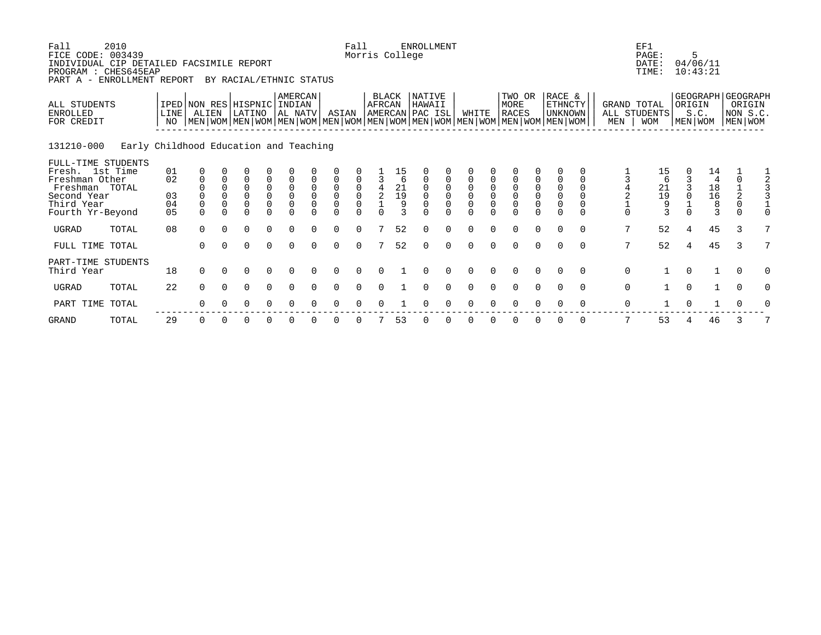| Fall<br>FICE CODE: 003439<br>INDIVIDUAL CIP DETAILED FACSIMILE REPORT<br>PROGRAM : CHES645EAP<br>PART A -                  | 2010<br>ENROLLMENT REPORT              |                                        |                                      |                                  | BY RACIAL/ETHNIC STATUS                                              |                    |                                           |                         |                                                        | Fall<br>Morris College |                         |                                                                    | <b>ENROLLMENT</b>                   |          |                       |                    |                                                                                                                                               |                                                               |                                                                      |                           |                    | EF1<br>PAGE:<br>DATE:<br>TIME:    |                | 5<br>04/06/11<br>10:43:21                                          |                      |                    |
|----------------------------------------------------------------------------------------------------------------------------|----------------------------------------|----------------------------------------|--------------------------------------|----------------------------------|----------------------------------------------------------------------|--------------------|-------------------------------------------|-------------------------|--------------------------------------------------------|------------------------|-------------------------|--------------------------------------------------------------------|-------------------------------------|----------|-----------------------|--------------------|-----------------------------------------------------------------------------------------------------------------------------------------------|---------------------------------------------------------------|----------------------------------------------------------------------|---------------------------|--------------------|-----------------------------------|----------------|--------------------------------------------------------------------|----------------------|--------------------|
| ALL STUDENTS<br><b>ENROLLED</b><br>FOR CREDIT                                                                              |                                        | LINE<br>NO                             | IPED NON RES HISPNIC INDIAN<br>ALIEN |                                  | LATINO                                                               |                    | AMERCAN<br>AL NATV                        |                         | ASIAN                                                  |                        | BLACK<br>AFRCAN         |                                                                    | NATIVE<br>HAWAII<br>AMERCAN PAC ISL |          | WHITE                 |                    | TWO OR<br>MORE<br><b>RACES</b><br>  MEN   WOM   MEN   WOM   MEN   WOM   MEN   WOM   MEN   WOM   MEN   WOM   MEN   WOM   MEN   WOM   MEN   WOM |                                                               | RACE &<br>ETHNCTY<br><b>UNKNOWN</b>                                  |                           | GRAND TOTAL<br>MEN | ALL STUDENTS<br><b>WOM</b>        | ORIGIN         | GEOGRAPH GEOGRAPH<br>S.C.<br>  MEN   WOM                           | MEN WOM              | ORIGIN<br>NON S.C. |
| 131210-000                                                                                                                 | Early Childhood Education and Teaching |                                        |                                      |                                  |                                                                      |                    |                                           |                         |                                                        |                        |                         |                                                                    |                                     |          |                       |                    |                                                                                                                                               |                                                               |                                                                      |                           |                    |                                   |                |                                                                    |                      |                    |
| FULL-TIME STUDENTS<br>Fresh. 1st Time<br>Freshman Other<br>Freshman TOTAL<br>Second Year<br>Third Year<br>Fourth Yr-Beyond |                                        | 01<br>02<br>03<br>04<br>0 <sub>5</sub> | $\Omega$<br>$\Omega$<br>$\Omega$     | $\Omega$<br>$\Omega$<br>$\Omega$ | $\Omega$<br>$\overline{0}$<br>$\overline{0}$<br>$\Omega$<br>$\Omega$ | 0<br>0<br>$\Omega$ | $\mathbf 0$<br>$\overline{0}$<br>$\Omega$ | $\Omega$<br>$\mathbf 0$ | $\overline{0}$<br>$\mathbf 0$<br>$\mathsf 0$<br>$\cap$ | $\cap$                 | $\frac{4}{2}$<br>$\cap$ | 15<br>$\begin{array}{c} 21 \\ 19 \end{array}$<br>9<br>$\mathbf{z}$ | $\Omega$<br>$\cap$                  | $\cap$   | $\mathbf 0$<br>$\cap$ | $\Omega$<br>$\cap$ | 0<br>$\overline{0}$<br>$\overline{0}$<br>$\cap$                                                                                               | $\begin{smallmatrix} 0\\0 \end{smallmatrix}$<br>0<br>$\Omega$ | $\mathbf 0$<br>$\mathbf 0$<br>$\mathbf 0$<br>$\mathbf 0$<br>$\Omega$ | $\Omega$<br>0<br>$\Omega$ | $\Omega$           | 15<br>6<br>$^{21}_{19}$<br>9<br>3 |                | 14<br>$\begin{array}{c} 18 \\ 16 \\ 8 \end{array}$<br>$\mathbf{3}$ | $\Omega$<br>$\Omega$ |                    |
| <b>UGRAD</b>                                                                                                               | TOTAL                                  | 08                                     | $\Omega$                             | $\Omega$                         | $\Omega$                                                             | $\Omega$           | $\Omega$                                  |                         | $\Omega$                                               |                        |                         | 52                                                                 | $\Omega$                            | $\Omega$ |                       |                    | $\Omega$                                                                                                                                      | $\Omega$                                                      | $\Omega$                                                             | $\Omega$                  | 7                  | 52                                | $\overline{4}$ | 45                                                                 | 3                    |                    |
| FULL TIME TOTAL                                                                                                            |                                        |                                        | $\Omega$                             | $\Omega$                         | $\Omega$                                                             | $\Omega$           | $\Omega$                                  | $\cap$                  | $\Omega$                                               | $\Omega$               |                         | 52                                                                 | $\Omega$                            | $\cap$   | $\cap$                |                    | $\Omega$                                                                                                                                      | $\Omega$                                                      | $\Omega$                                                             | $\Omega$                  | 7                  | 52                                | 4              | 45                                                                 | 3                    |                    |
| PART-TIME STUDENTS<br>Third Year                                                                                           |                                        | 18                                     | $\Omega$                             | $\Omega$                         | $\Omega$                                                             | $\Omega$           | $\Omega$                                  |                         | $\Omega$                                               | $\cap$                 | $\Omega$                |                                                                    | ∩                                   |          | $\Omega$              |                    | $\Omega$                                                                                                                                      | $\Omega$                                                      | $\cap$                                                               | $\Omega$                  | $\mathbf 0$        |                                   | $\Omega$       | $\mathbf{1}$                                                       | $\Omega$             | O                  |
| <b>UGRAD</b>                                                                                                               | TOTAL                                  | 22                                     | $\Omega$                             | $\Omega$                         | $\Omega$                                                             | $\Omega$           | $\Omega$                                  |                         | $\Omega$                                               |                        |                         |                                                                    |                                     |          |                       |                    | $\Omega$                                                                                                                                      | $\Omega$                                                      |                                                                      | $\Omega$                  | $\mathbf 0$        |                                   | $\Omega$       | $\mathbf{1}$                                                       | $\Omega$             |                    |
| PART TIME                                                                                                                  | TOTAL                                  |                                        | ∩                                    |                                  | O                                                                    | 0                  |                                           |                         |                                                        |                        |                         |                                                                    |                                     |          |                       |                    |                                                                                                                                               |                                                               |                                                                      | $\Omega$                  | 0                  |                                   |                |                                                                    |                      |                    |
|                                                                                                                            |                                        |                                        |                                      |                                  |                                                                      |                    |                                           |                         |                                                        |                        |                         |                                                                    |                                     |          |                       |                    |                                                                                                                                               |                                                               |                                                                      |                           |                    |                                   |                |                                                                    |                      |                    |

GRAND TOTAL 29 0 0 0 0 0 0 0 0 7 53 0 0 0 0 0 0 0 0 7 53 4 46 3 7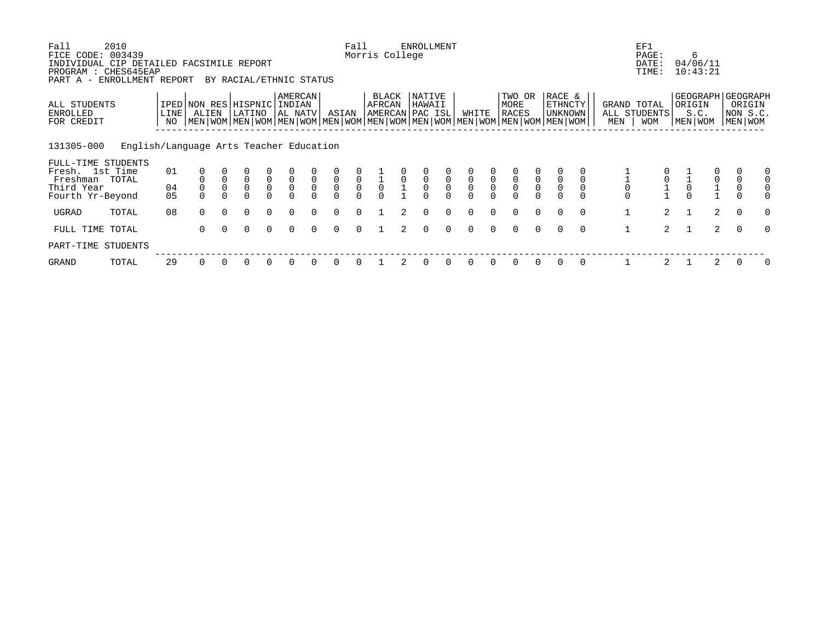| Fall<br>FICE CODE: 003439<br>INDIVIDUAL CIP DETAILED FACSIMILE REPORT<br>PROGRAM : CHES645EAP<br>PART A - ENROLLMENT REPORT | 2010                                    |              |                                      |              | BY RACIAL/ETHNIC STATUS         |                                           |                                           |                     |                                           | Fall                                           | Morris College                              |                | <b>ENROLLMENT</b>                         |                                                |                                           |                |                                                                                                                                        |          |                                     |          |                    | EF1<br>PAGE:<br>DATE:<br>TIME: |              | 6<br>04/06/11<br>10:43:21 |                                                    |
|-----------------------------------------------------------------------------------------------------------------------------|-----------------------------------------|--------------|--------------------------------------|--------------|---------------------------------|-------------------------------------------|-------------------------------------------|---------------------|-------------------------------------------|------------------------------------------------|---------------------------------------------|----------------|-------------------------------------------|------------------------------------------------|-------------------------------------------|----------------|----------------------------------------------------------------------------------------------------------------------------------------|----------|-------------------------------------|----------|--------------------|--------------------------------|--------------|---------------------------|----------------------------------------------------|
| ALL STUDENTS<br>ENROLLED<br>FOR CREDIT                                                                                      |                                         | LINE  <br>NO | IPED NON RES HISPNIC INDIAN<br>ALIEN |              | LATINO                          |                                           | AMERCAN<br>AL NATV                        |                     | ASIAN                                     |                                                | BLACK<br>AFRCAN                             |                | NATIVE<br>HAWAII<br>AMERCAN PAC ISL       |                                                | WHITE                                     |                | TWO OR<br>MORE<br>RACES<br>  MEN   WOM   MEN   WOM   MEN   WOM   MEN   WOM   MEN   WOM   MEN   WOM   MEN   WOM   MEN   WOM   MEN   WOM |          | RACE &<br><b>ETHNCTY</b><br>UNKNOWN |          | GRAND TOTAL<br>MEN | ALL STUDENTS<br><b>WOM</b>     | ORIGIN       | S.C.<br>  MEN   WOM       | GEOGRAPH GEOGRAPH<br>ORIGIN<br>NON S.C.<br>MEN WOM |
| 131305-000                                                                                                                  | English/Language Arts Teacher Education |              |                                      |              |                                 |                                           |                                           |                     |                                           |                                                |                                             |                |                                           |                                                |                                           |                |                                                                                                                                        |          |                                     |          |                    |                                |              |                           |                                                    |
| FULL-TIME STUDENTS<br>Fresh. 1st Time<br>Freshman TOTAL                                                                     |                                         | 01           |                                      |              | $\overline{0}$                  | $\begin{matrix} 0 \\ 0 \\ 0 \end{matrix}$ | $\begin{matrix} 0 \\ 0 \\ 0 \end{matrix}$ | $\ddot{\mathbf{0}}$ | $\begin{matrix} 0 \\ 0 \\ 0 \end{matrix}$ |                                                |                                             | $\overline{0}$ | $\begin{matrix} 0 \\ 0 \\ 0 \end{matrix}$ |                                                | $\begin{matrix} 0 \\ 0 \\ 0 \end{matrix}$ |                |                                                                                                                                        |          |                                     |          |                    |                                |              |                           |                                                    |
| Third Year<br>Fourth Yr-Beyond                                                                                              |                                         | 04<br>05     |                                      | $\mathsf{O}$ | $\mathsf{O}\xspace$<br>$\Omega$ |                                           |                                           | $\mathbf{0}$        | $\Omega$                                  | $\begin{matrix} 0 \\ 0 \\ 0 \\ 0 \end{matrix}$ | $\begin{matrix}\n1 \\ 0 \\ 0\n\end{matrix}$ |                |                                           | $\begin{matrix} 0 \\ 0 \\ 0 \\ 0 \end{matrix}$ |                                           | $\overline{0}$ | $\overline{0}$<br>0                                                                                                                    |          |                                     |          |                    | $\frac{0}{1}$                  |              |                           | 0                                                  |
| UGRAD                                                                                                                       | TOTAL                                   | 08           | $\Omega$                             | $\Omega$     | $\Omega$                        | $\Omega$                                  | $\Omega$                                  |                     | $\Omega$                                  | $\Omega$                                       |                                             |                | $\Omega$                                  | $\Omega$                                       | $\Omega$                                  |                |                                                                                                                                        |          |                                     | $\Omega$ |                    | $2^{\circ}$                    |              | 2                         | $\Omega$<br>$\Omega$                               |
| FULL TIME                                                                                                                   | TOTAL                                   |              | $\Omega$                             | $\Omega$     | $\Omega$                        | $\Omega$                                  | $\Omega$                                  | $\Omega$            | $\Omega$                                  | $\Omega$                                       |                                             | $2^{1}$        | $\Omega$                                  | $\Omega$                                       | $\Omega$                                  | $\cap$         | $\Omega$                                                                                                                               | $\Omega$ | $\Omega$                            | $\Omega$ | $\mathbf{1}$       | $\overline{a}$                 | $\mathbf{1}$ | $\overline{2}$            | $\Omega$<br>$\Omega$                               |
| PART-TIME STUDENTS                                                                                                          |                                         |              |                                      |              |                                 |                                           |                                           |                     |                                           |                                                |                                             |                |                                           |                                                |                                           |                |                                                                                                                                        |          |                                     |          |                    |                                |              |                           |                                                    |
| GRAND                                                                                                                       | TOTAL                                   | 29           |                                      |              |                                 | $\Omega$                                  | 0                                         |                     | 0                                         |                                                |                                             |                |                                           | 0                                              |                                           |                | $\Omega$                                                                                                                               |          |                                     | $\Omega$ |                    |                                |              | 2                         | 0                                                  |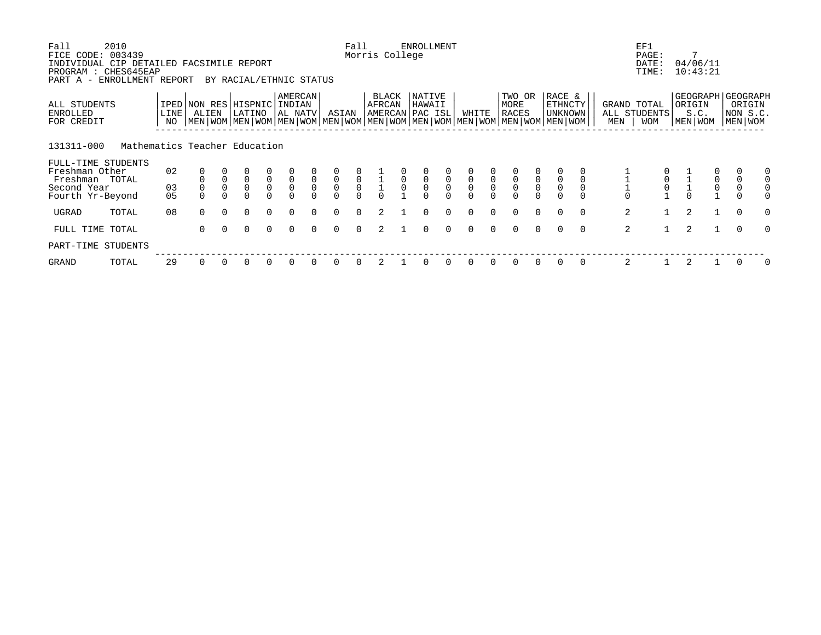| Fall<br>FICE CODE:<br>INDIVIDUAL CIP DETAILED FACSIMILE REPORT<br>PROGRAM : CHES645EAP<br>PART A - ENROLLMENT REPORT | 2010<br>003439                |              |          |              | BY RACIAL/ETHNIC STATUS                                                                                                                              |                     |                                           |                     |                            | Fall                                           | Morris College  |             | <b>ENROLLMENT</b>                   |                     |                |              |                                      |          |                              |          |                    | EF1<br>PAGE:<br>DATE:<br>TIME:   | 7                   | 04/06/11<br>10:43:21                      |                                                      |
|----------------------------------------------------------------------------------------------------------------------|-------------------------------|--------------|----------|--------------|------------------------------------------------------------------------------------------------------------------------------------------------------|---------------------|-------------------------------------------|---------------------|----------------------------|------------------------------------------------|-----------------|-------------|-------------------------------------|---------------------|----------------|--------------|--------------------------------------|----------|------------------------------|----------|--------------------|----------------------------------|---------------------|-------------------------------------------|------------------------------------------------------|
| ALL STUDENTS<br>ENROLLED<br>FOR CREDIT                                                                               |                               | LINE  <br>NO | ALIEN    |              | IPED NON RES HISPNIC INDIAN<br>LATINO<br>  MEN   WOM   MEN   WOM   MEN   WOM   MEN   WOM   MEN   WOM   MEN   WOM   MEN   WOM   MEN   WOM   MEN   WOM |                     | AMERCAN<br>AL NATV                        |                     | ASIAN                      |                                                | BLACK<br>AFRCAN |             | NATIVE<br>HAWAII<br>AMERCAN PAC ISL |                     | WHITE          |              | TWO OR<br>MORE<br>RACES              |          | RACE &<br>ETHNCTY<br>UNKNOWN |          | GRAND TOTAL<br>MEN | ALL STUDENTS<br><b>WOM</b>       | ORIGIN<br>MEN   WOM | S.C.                                      | GEOGRAPH GEOGRAPH<br>ORIGIN<br>NON S.C.<br>MEN   WOM |
| 131311-000                                                                                                           | Mathematics Teacher Education |              |          |              |                                                                                                                                                      |                     |                                           |                     |                            |                                                |                 |             |                                     |                     |                |              |                                      |          |                              |          |                    |                                  |                     |                                           |                                                      |
| FULL-TIME STUDENTS<br>Freshman Other<br>Freshman TOTAL                                                               |                               | 02           |          | $\mathsf{O}$ | $\mathsf 0$                                                                                                                                          |                     | $\begin{matrix} 0 \\ 0 \\ 0 \end{matrix}$ | $\mathsf{O}\xspace$ | $\overline{0}$             |                                                |                 | $\mathbf 0$ | $\mathsf 0$                         |                     |                | $\mathsf{O}$ |                                      |          |                              |          |                    |                                  |                     | $\begin{matrix} 0 \\ 0 \\ 0 \end{matrix}$ | $\mathsf{O}$                                         |
| Second Year<br>Fourth Yr-Beyond                                                                                      |                               | 03<br>05     |          | $\mathbf 0$  | $\mathbf 0$<br>$\Omega$                                                                                                                              | $\overline{0}$<br>0 |                                           | $\mathbf 0$         | $\overline{0}$<br>$\Omega$ | $\begin{matrix} 0 \\ 0 \\ 0 \\ 0 \end{matrix}$ |                 | $\mathbf 0$ | $\overline{0}$                      | $\overline{0}$<br>0 | $\overline{0}$ | $\mathbf 0$  | $\begin{matrix} 0 \\ 0 \end{matrix}$ |          |                              |          |                    | $\overline{0}$<br>$\overline{0}$ |                     |                                           | $\mathsf{O}$                                         |
| UGRAD                                                                                                                | TOTAL                         | 08           | $\Omega$ | $\Omega$     | $\Omega$                                                                                                                                             | $\Omega$            | $\Omega$                                  |                     | $\Omega$                   |                                                |                 |             |                                     |                     |                |              | $\Omega$                             | $\Omega$ | $\Omega$                     | $\Omega$ | 2                  |                                  | 2                   |                                           | $\mathbf 0$<br>O                                     |
| FULL TIME TOTAL                                                                                                      |                               |              | $\Omega$ | $\Omega$     | $\Omega$                                                                                                                                             | $\Omega$            | $\Omega$                                  | $\Omega$            | $\Omega$                   | $\Omega$                                       | 2               |             | $\Omega$                            | $\Omega$            | $\Omega$       | $\Omega$     | $\Omega$                             | $\Omega$ | $\Omega$                     | $\Omega$ | 2                  | 1                                | 2                   | $\mathbf{1}$                              | $\Omega$<br>$\Omega$                                 |
| PART-TIME STUDENTS                                                                                                   |                               |              |          |              |                                                                                                                                                      |                     |                                           |                     |                            |                                                |                 |             |                                     |                     |                |              |                                      |          |                              |          |                    |                                  |                     |                                           |                                                      |
| GRAND                                                                                                                | TOTAL                         | 29           | $\Omega$ |              | 0                                                                                                                                                    | 0                   | 0                                         |                     | 0                          |                                                |                 |             |                                     |                     |                |              |                                      |          |                              |          | 2                  |                                  |                     |                                           | 0                                                    |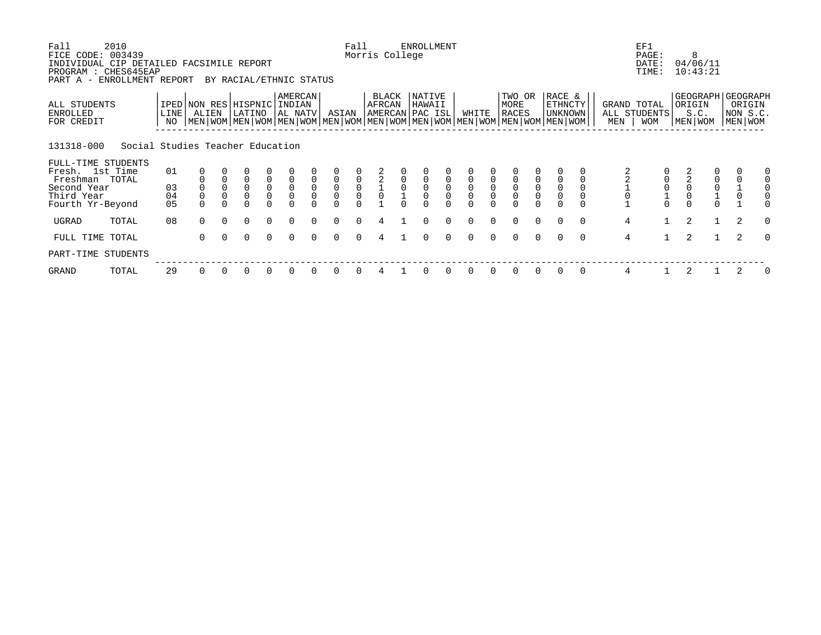| Fall<br>FICE CODE:                                                           | 2010<br>003439                   |                            |                |                  |                                |                                      |                                       |                          |                                      | Fall                                      | Morris College  |             | <b>ENROLLMENT</b>                    |                                            |                |                          |                                                                                                                                        |                                      |                                            |          |                    | EF1<br>PAGE:                         |   | 8                                              |              |                                                    |          |
|------------------------------------------------------------------------------|----------------------------------|----------------------------|----------------|------------------|--------------------------------|--------------------------------------|---------------------------------------|--------------------------|--------------------------------------|-------------------------------------------|-----------------|-------------|--------------------------------------|--------------------------------------------|----------------|--------------------------|----------------------------------------------------------------------------------------------------------------------------------------|--------------------------------------|--------------------------------------------|----------|--------------------|--------------------------------------|---|------------------------------------------------|--------------|----------------------------------------------------|----------|
| INDIVIDUAL CIP DETAILED FACSIMILE REPORT<br>PROGRAM : CHES645EAP<br>PART A - | ENROLLMENT REPORT                |                            |                |                  | BY RACIAL/ETHNIC STATUS        |                                      |                                       |                          |                                      |                                           |                 |             |                                      |                                            |                |                          |                                                                                                                                        |                                      |                                            |          |                    | DATE:<br>TIME:                       |   | 04/06/11<br>10:43:21                           |              |                                                    |          |
| ALL STUDENTS<br>ENROLLED<br>FOR CREDIT                                       |                                  | LINE <sup>[</sup><br>NO    | ALIEN          |                  | IPED NON RES HISPNIC<br>LATINO |                                      | <b>AMERCAN</b><br>INDIAN<br>  AL NATV |                          | ASIAN                                |                                           | BLACK<br>AFRCAN |             | NATIVE<br>HAWAII<br> AMERCAN PAC ISL |                                            | WHITE          |                          | TWO OR<br>MORE<br>RACES<br>  MEN   WOM   MEN   WOM   MEN   WOM   MEN   WOM   MEN   WOM   MEN   WOM   MEN   WOM   MEN   WOM   MEN   WOM |                                      | RACE &<br><b>ETHNCTY</b><br><b>UNKNOWN</b> |          | GRAND TOTAL<br>MEN | ALL STUDENTS<br><b>WOM</b>           |   | ORIGIN<br>S.C.<br>MEN WOM                      |              | GEOGRAPH GEOGRAPH<br>ORIGIN<br>NON S.C.<br>MEN WOM |          |
| 131318-000                                                                   | Social Studies Teacher Education |                            |                |                  |                                |                                      |                                       |                          |                                      |                                           |                 |             |                                      |                                            |                |                          |                                                                                                                                        |                                      |                                            |          |                    |                                      |   |                                                |              |                                                    |          |
| FULL-TIME STUDENTS<br>Fresh. 1st Time<br>Freshman TOTAL                      |                                  | 01                         |                | $\mathbf 0$      | $\overline{0}$                 | $\overline{0}$                       | $\mathsf 0$                           | $\mathbf 0$              | $\mathsf 0$                          |                                           |                 |             |                                      |                                            |                |                          | 0                                                                                                                                      | 0                                    |                                            |          |                    |                                      |   | $\frac{2}{2}$                                  |              | $\mathbf 0$                                        |          |
| Second Year<br>Third Year<br>Fourth Yr-Beyond                                |                                  | 03<br>04<br>0 <sub>5</sub> | $\overline{0}$ | $\mathsf 0$<br>0 | $\mathsf 0$<br>$\overline{0}$  | $\begin{matrix} 0 \\ 0 \end{matrix}$ | $\overline{0}$                        | $\mathsf{O}\xspace$<br>0 | $\begin{matrix} 0 \\ 0 \end{matrix}$ | $\begin{matrix} 0 \\ 0 \\ 0 \end{matrix}$ | $\overline{0}$  | $\mathsf 0$ | $_0^0$                               | $\begin{smallmatrix}0\\0\end{smallmatrix}$ | $\overline{0}$ | $\mathsf{O}\xspace$<br>0 | $\overline{0}$                                                                                                                         | $\begin{matrix} 0 \\ 0 \end{matrix}$ | $\mathsf{O}$<br>$\mathsf{O}\xspace$        |          |                    | $\begin{matrix} 0 \\ 0 \end{matrix}$ |   | $\begin{matrix} 0 \\ 0 \\ 1 \\ 0 \end{matrix}$ |              | $\frac{1}{0}$                                      |          |
| UGRAD                                                                        | TOTAL                            | 08                         | $\Omega$       | $\Omega$         | $\Omega$                       | $\Omega$                             | $\Omega$                              | $\Omega$                 | $\Omega$                             | $\cap$                                    | 4               |             | $\Omega$                             | $\Omega$                                   | $\Omega$       | 0                        | $\Omega$                                                                                                                               | $\Omega$                             | $\Omega$                                   | $\Omega$ | $\overline{4}$     |                                      |   | 2                                              | $\mathbf{1}$ | 2                                                  | $\Omega$ |
| FULL TIME TOTAL                                                              |                                  |                            | $\Omega$       | $\Omega$         | $\Omega$                       | $\Omega$                             | $\Omega$                              |                          | $\Omega$                             | $\cap$                                    | 4               |             | $\cap$                               | $\Omega$                                   | $\cap$         | $\Omega$                 | $\Omega$                                                                                                                               | $\Omega$                             | $\Omega$                                   | $\Omega$ | $\overline{4}$     | $\mathbf{1}$                         |   | 2<br>$\mathbf{1}$                              |              | $\mathcal{L}$                                      | $\Omega$ |
| PART-TIME STUDENTS                                                           |                                  |                            |                |                  |                                |                                      |                                       |                          |                                      |                                           |                 |             |                                      |                                            |                |                          |                                                                                                                                        |                                      |                                            |          |                    |                                      |   |                                                |              |                                                    |          |
| GRAND                                                                        | TOTAL                            | 29                         | 0              |                  | 0                              |                                      |                                       |                          | <sup>0</sup>                         |                                           |                 |             |                                      |                                            |                |                          | $\Omega$                                                                                                                               | $\Omega$                             | 0                                          | 0        | 4                  |                                      | 2 |                                                |              |                                                    | 0        |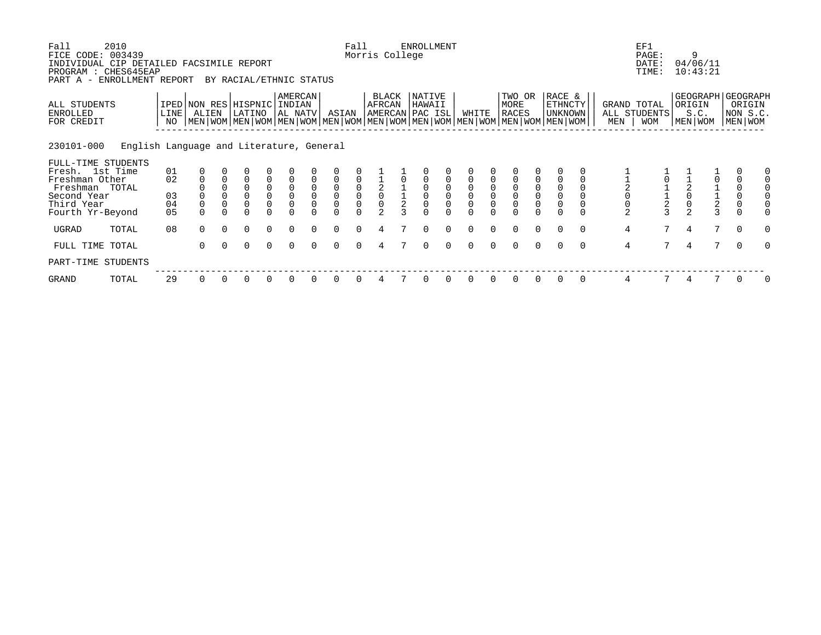| Fall<br>FICE CODE: 003439                                                                      | 2010                                     |            |                |          |                                                                                                                                                      |                                      |                                            |                |                                            | Fall           | Morris College                      | <b>ENROLLMENT</b> |          |              |          |                                |          |                                     |          |                     | EF1<br>PAGE:                       |                | 9                         |                    |                                                    |   |
|------------------------------------------------------------------------------------------------|------------------------------------------|------------|----------------|----------|------------------------------------------------------------------------------------------------------------------------------------------------------|--------------------------------------|--------------------------------------------|----------------|--------------------------------------------|----------------|-------------------------------------|-------------------|----------|--------------|----------|--------------------------------|----------|-------------------------------------|----------|---------------------|------------------------------------|----------------|---------------------------|--------------------|----------------------------------------------------|---|
| INDIVIDUAL CIP DETAILED FACSIMILE REPORT<br>PROGRAM : CHES645EAP<br>PART A - ENROLLMENT REPORT |                                          |            |                |          | BY RACIAL/ETHNIC STATUS                                                                                                                              |                                      |                                            |                |                                            |                |                                     |                   |          |              |          |                                |          |                                     |          |                     | DATE:<br>TIME:                     |                | 04/06/11<br>10:43:21      |                    |                                                    |   |
| ALL STUDENTS<br>ENROLLED<br>FOR CREDIT                                                         |                                          | LINE<br>NO | ALIEN          |          | IPED NON RES HISPNIC INDIAN<br>LATINO<br>  MEN   WOM   MEN   WOM   MEN   WOM   MEN   WOM   MEN   WOM   MEN   WOM   MEN   WOM   MEN   WOM   MEN   WOM |                                      | <b>AMERCAN</b><br>AL NATV                  |                | ASIAN                                      |                | BLACK<br>AFRCAN<br> AMERCAN PAC ISL | NATIVE<br>HAWAII  |          | WHITE        |          | TWO OR<br>MORE<br><b>RACES</b> |          | RACE &<br>ETHNCTY<br><b>UNKNOWN</b> |          | MEN                 | GRAND TOTAL<br>ALL STUDENTS<br>WOM |                | ORIGIN<br>S.C.<br>MEN WOM |                    | GEOGRAPH GEOGRAPH<br>ORIGIN<br>NON S.C.<br>MEN WOM |   |
| 230101-000                                                                                     | English Language and Literature, General |            |                |          |                                                                                                                                                      |                                      |                                            |                |                                            |                |                                     |                   |          |              |          |                                |          |                                     |          |                     |                                    |                |                           |                    |                                                    |   |
| FULL-TIME STUDENTS<br>Fresh. 1st Time                                                          |                                          | 01         |                |          |                                                                                                                                                      |                                      |                                            |                |                                            |                |                                     |                   |          |              |          |                                |          |                                     |          |                     |                                    |                |                           |                    |                                                    |   |
| Freshman Other                                                                                 |                                          | 02         |                |          | $\Omega$                                                                                                                                             |                                      |                                            |                |                                            |                |                                     |                   |          |              |          |                                |          |                                     |          |                     |                                    |                |                           |                    |                                                    |   |
| Freshman TOTAL                                                                                 |                                          |            |                |          | $\Omega$                                                                                                                                             | $\begin{matrix} 0 \\ 0 \end{matrix}$ | $\begin{smallmatrix}0\\0\end{smallmatrix}$ | $\mathsf{O}$   | $\begin{smallmatrix}0\\0\end{smallmatrix}$ | $\overline{0}$ |                                     |                   |          |              |          | $\mathsf{O}\xspace$            |          |                                     |          |                     |                                    |                |                           |                    | $\mathbf 0$                                        |   |
| Second Year                                                                                    |                                          | 03         |                |          | $\Omega$                                                                                                                                             |                                      |                                            | $\overline{0}$ |                                            |                |                                     |                   |          |              |          | $\overline{0}$                 |          | $\overline{0}$                      |          |                     |                                    |                |                           |                    | $\mathsf{O}\xspace$                                |   |
| Third Year<br>Fourth Yr-Beyond                                                                 |                                          | 04<br>05   | $\overline{0}$ |          |                                                                                                                                                      |                                      | 0                                          |                |                                            |                |                                     |                   |          |              |          | $\overline{0}$                 | 0        | $\overline{0}$                      |          | $\frac{1}{2}$ 0 0 2 |                                    | $\overline{2}$ |                           | $\frac{1}{2}$<br>3 | $\mathbf 0$                                        |   |
|                                                                                                |                                          |            |                |          |                                                                                                                                                      |                                      |                                            |                |                                            |                |                                     |                   |          |              |          |                                |          |                                     |          |                     |                                    |                |                           |                    |                                                    |   |
| UGRAD                                                                                          | TOTAL                                    | 08         | $\Omega$       | $\Omega$ | $\Omega$                                                                                                                                             | $\Omega$                             | $\Omega$                                   | $\Omega$       | $\Omega$                                   |                |                                     | $\Omega$          | $\Omega$ | $\cap$       | $\Omega$ | $\Omega$                       | $\Omega$ | $\Omega$                            | $\Omega$ | $\overline{4}$      | 7                                  | 4              |                           | 7                  | $\overline{0}$                                     |   |
| FULL TIME TOTAL                                                                                |                                          |            | $\Omega$       | $\Omega$ | $\Omega$                                                                                                                                             | $\Omega$                             | $\Omega$                                   |                | $\Omega$                                   |                |                                     | ∩                 | $\Omega$ | <sup>n</sup> |          | $\Omega$                       | $\Omega$ |                                     | $\Omega$ | $\overline{4}$      | 7                                  | 4              |                           | 7                  | $\Omega$                                           | O |
| PART-TIME STUDENTS                                                                             |                                          |            |                |          |                                                                                                                                                      |                                      |                                            |                |                                            |                |                                     |                   |          |              |          |                                |          |                                     |          |                     |                                    |                |                           |                    |                                                    |   |
| GRAND                                                                                          | TOTAL                                    | 29         | 0              |          | 0                                                                                                                                                    |                                      |                                            |                |                                            |                |                                     |                   |          |              |          | 0                              |          |                                     | 0        | 4                   |                                    |                |                           |                    |                                                    |   |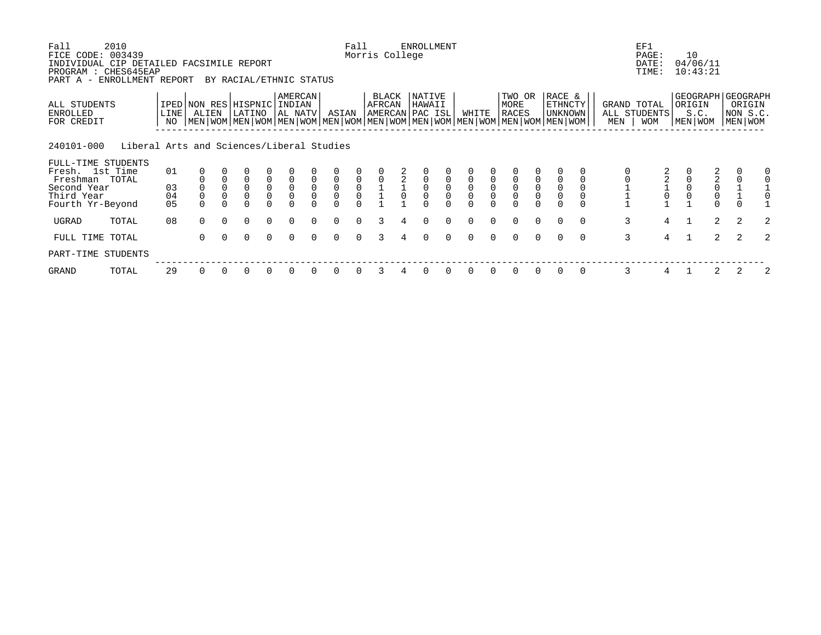| Fall<br>FICE CODE: 003439                                                    | 2010                                      |                            |                     |                            |                                |                                           |                                                        |                  |                                           | Fall          | Morris College  |   | <b>ENROLLMENT</b>                   |                |        |                          |                                                                                                                                               |                     |                                     |          |                    | EF1<br>PAGE:               | 10                                        |                |                                                    |   |
|------------------------------------------------------------------------------|-------------------------------------------|----------------------------|---------------------|----------------------------|--------------------------------|-------------------------------------------|--------------------------------------------------------|------------------|-------------------------------------------|---------------|-----------------|---|-------------------------------------|----------------|--------|--------------------------|-----------------------------------------------------------------------------------------------------------------------------------------------|---------------------|-------------------------------------|----------|--------------------|----------------------------|-------------------------------------------|----------------|----------------------------------------------------|---|
| INDIVIDUAL CIP DETAILED FACSIMILE REPORT<br>PROGRAM : CHES645EAP<br>PART A - | ENROLLMENT REPORT                         |                            |                     |                            | BY RACIAL/ETHNIC STATUS        |                                           |                                                        |                  |                                           |               |                 |   |                                     |                |        |                          |                                                                                                                                               |                     |                                     |          |                    | DATE:<br>TIME:             | 04/06/11<br>10:43:21                      |                |                                                    |   |
| ALL STUDENTS<br>ENROLLED<br>FOR CREDIT                                       |                                           | LINE  <br>NO               | ALIEN               |                            | IPED NON RES HISPNIC<br>LATINO |                                           | <b>AMERCAN</b><br>INDIAN<br>  AL NATV                  |                  | ASIAN                                     |               | BLACK<br>AFRCAN |   | NATIVE<br>HAWAII<br>AMERCAN PAC ISL |                | WHITE  |                          | TWO OR<br>MORE<br><b>RACES</b><br>  MEN   WOM   MEN   WOM   MEN   WOM   MEN   WOM   MEN   WOM   MEN   WOM   MEN   WOM   MEN   WOM   MEN   WOM |                     | RACE &<br>ETHNCTY<br><b>UNKNOWN</b> |          | GRAND TOTAL<br>MEN | ALL STUDENTS<br><b>WOM</b> | ORIGIN<br>S.C.<br>MEN   WOM               |                | GEOGRAPH GEOGRAPH<br>ORIGIN<br>NON S.C.<br>MEN WOM |   |
| 240101-000                                                                   | Liberal Arts and Sciences/Liberal Studies |                            |                     |                            |                                |                                           |                                                        |                  |                                           |               |                 |   |                                     |                |        |                          |                                                                                                                                               |                     |                                     |          |                    |                            |                                           |                |                                                    |   |
| FULL-TIME STUDENTS<br>Fresh. 1st Time<br>Freshman TOTAL                      |                                           | 01                         |                     |                            | $\mathbf 0$                    |                                           |                                                        |                  |                                           |               |                 | 2 |                                     |                |        |                          |                                                                                                                                               |                     |                                     |          |                    |                            |                                           |                |                                                    |   |
| Second Year<br>Third Year<br>Fourth Yr-Beyond                                |                                           | 03<br>04<br>0 <sub>5</sub> | $\mathsf{O}\xspace$ | $\mathsf 0$<br>$\mathbf 0$ | $\mathsf 0$<br>$\overline{0}$  | $\begin{matrix} 0 \\ 0 \\ 0 \end{matrix}$ | $\begin{matrix} 0 \\ 0 \end{matrix}$<br>$\overline{0}$ | $\mathsf 0$<br>0 | $\begin{matrix} 0 \\ 0 \\ 0 \end{matrix}$ | $0$<br>0<br>0 |                 |   | $\mathsf 0$<br>$\Omega$             | $\overline{0}$ |        | $\mathsf{O}\xspace$<br>0 | $\overline{0}$                                                                                                                                | $\overline{0}$<br>0 | $\overline{0}$                      |          |                    |                            | $\begin{matrix} 2 \\ 0 \\ 0 \end{matrix}$ | $\Omega$       | $\begin{matrix} 1 \\ 1 \\ 0 \end{matrix}$          |   |
| UGRAD                                                                        | TOTAL                                     | 08                         | $\Omega$            | $\Omega$                   | $\Omega$                       | $\Omega$                                  | $\Omega$                                               | $\Omega$         | $\Omega$                                  | $\Omega$      | 3               |   | $\Omega$                            | $\Omega$       |        |                          | $\Omega$                                                                                                                                      | $\Omega$            | $\Omega$                            | $\Omega$ | $\mathbf{3}$       | 4                          |                                           | $\overline{a}$ | 2                                                  | 2 |
| FULL TIME TOTAL                                                              |                                           |                            | $\Omega$            | $\Omega$                   | $\Omega$                       | $\Omega$                                  | $\Omega$                                               |                  | $\Omega$                                  | $\cap$        |                 |   | $\cap$                              | $\Omega$       | $\cap$ | $\cap$                   | $\Omega$                                                                                                                                      | $\Omega$            | $\Omega$                            | $\Omega$ | $\overline{3}$     | $\overline{4}$             |                                           | $\overline{2}$ | 2                                                  |   |
| PART-TIME STUDENTS                                                           |                                           |                            |                     |                            |                                |                                           |                                                        |                  |                                           |               |                 |   |                                     |                |        |                          |                                                                                                                                               |                     |                                     |          |                    |                            |                                           |                |                                                    |   |
| GRAND                                                                        | TOTAL                                     | 29                         | 0                   |                            | 0                              |                                           |                                                        |                  | <sup>0</sup>                              |               |                 |   |                                     |                |        |                          | $\Omega$                                                                                                                                      | $\Omega$            | $\Omega$                            | 0        | 3                  | 4                          |                                           | 2              |                                                    | 2 |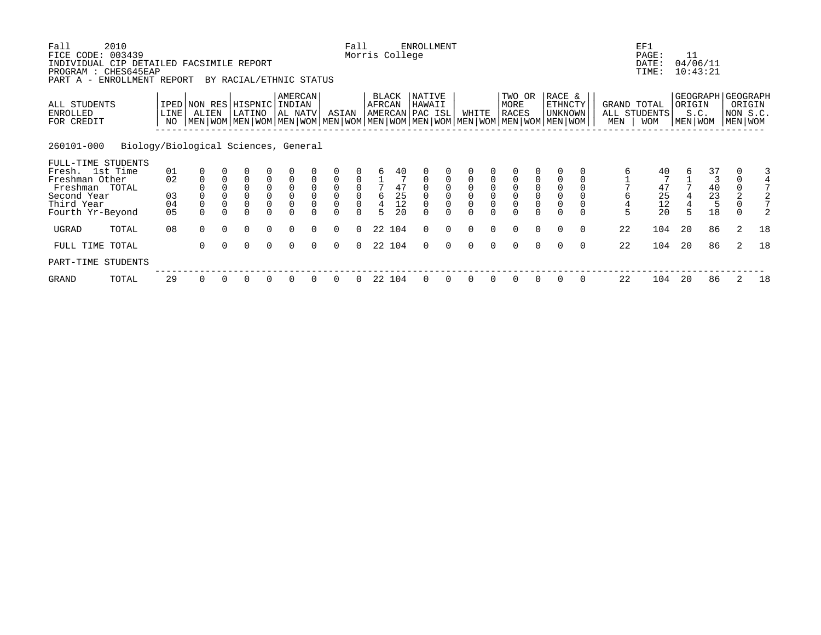| Fall<br>FICE CODE:                                                                             | 2010<br>003439                       |            |                                                                                                                                                     |          |                         |                                             |                           |             |                | Fall                                      |                | Morris College        | <b>ENROLLMENT</b>                    |          |          |          |                                                 |                                      |                                     |          |                                       | EF1<br>PAGE:                       | 11     |                                                     |          |                    |
|------------------------------------------------------------------------------------------------|--------------------------------------|------------|-----------------------------------------------------------------------------------------------------------------------------------------------------|----------|-------------------------|---------------------------------------------|---------------------------|-------------|----------------|-------------------------------------------|----------------|-----------------------|--------------------------------------|----------|----------|----------|-------------------------------------------------|--------------------------------------|-------------------------------------|----------|---------------------------------------|------------------------------------|--------|-----------------------------------------------------|----------|--------------------|
| INDIVIDUAL CIP DETAILED FACSIMILE REPORT<br>PROGRAM : CHES645EAP<br>PART A - ENROLLMENT REPORT |                                      |            |                                                                                                                                                     |          | BY RACIAL/ETHNIC STATUS |                                             |                           |             |                |                                           |                |                       |                                      |          |          |          |                                                 |                                      |                                     |          |                                       | DATE:<br>TIME:                     |        | 04/06/11<br>10:43:21                                |          |                    |
| ALL STUDENTS<br>ENROLLED<br>FOR CREDIT                                                         |                                      | LINE<br>NO | IPED NON RES HISPNIC INDIAN<br>ALIEN<br>  MEN   WOM   MEN   WOM   MEN   WOM   MEN   WOM   MEN   WOM   MEN   WOM   MEN   WOM   MEN   WOM   MEN   WOM |          | LATINO                  |                                             | <b>AMERCAN</b><br>AL NATV |             | ASIAN          |                                           | AFRCAN         | BLACK                 | NATIVE<br>HAWAII<br> AMERCAN PAC ISL |          | WHITE    |          | TWO OR<br>MORE<br><b>RACES</b>                  |                                      | RACE &<br>ETHNCTY<br><b>UNKNOWN</b> |          | MEN                                   | GRAND TOTAL<br>ALL STUDENTS<br>WOM | ORIGIN | GEOGRAPH GEOGRAPH<br>S.C.<br>MEN WOM                | MEN WOM  | ORIGIN<br>NON S.C. |
| 260101-000                                                                                     | Biology/Biological Sciences, General |            |                                                                                                                                                     |          |                         |                                             |                           |             |                |                                           |                |                       |                                      |          |          |          |                                                 |                                      |                                     |          |                                       |                                    |        |                                                     |          |                    |
| FULL-TIME STUDENTS                                                                             |                                      |            |                                                                                                                                                     |          |                         |                                             |                           |             |                |                                           |                |                       |                                      |          |          |          |                                                 |                                      |                                     |          |                                       |                                    |        |                                                     |          |                    |
| Fresh. 1st Time<br>Freshman Other                                                              |                                      | 01<br>02   |                                                                                                                                                     |          | $\Omega$                |                                             |                           |             |                |                                           |                | 40                    |                                      |          |          |          |                                                 |                                      |                                     |          |                                       | 40                                 |        | 37<br>3                                             |          |                    |
| Freshman TOTAL                                                                                 |                                      |            |                                                                                                                                                     |          | $\Omega$                | $\begin{smallmatrix}0\0\0\end{smallmatrix}$ |                           | $\mathbf 0$ | $\mathsf 0$    |                                           |                | $\frac{47}{25}$<br>12 |                                      |          |          |          | $\begin{smallmatrix} 0\\0\\0 \end{smallmatrix}$ | $\begin{matrix} 0 \\ 0 \end{matrix}$ |                                     |          |                                       |                                    |        | $\begin{smallmatrix} 4\,0\\ 2\,3 \end{smallmatrix}$ |          |                    |
| Second Year                                                                                    |                                      | 03         |                                                                                                                                                     |          | $\Omega$                |                                             |                           | $\Omega$    | $\overline{0}$ | $\begin{matrix} 0 \\ 0 \\ 0 \end{matrix}$ | $\epsilon$     |                       |                                      |          |          |          |                                                 |                                      | $\overline{0}$                      |          | $\begin{array}{c} 6 \\ 4 \end{array}$ |                                    |        |                                                     |          |                    |
| Third Year<br>Fourth Yr-Beyond                                                                 |                                      | 04<br>05   | $\overline{0}$                                                                                                                                      |          |                         |                                             | 0                         |             |                |                                           | $\overline{4}$ | 20                    | $\overline{0}$                       |          |          |          | $\overline{0}$<br>$\Omega$                      | 0                                    | $\overline{0}$                      |          | 5                                     | $\frac{47}{25}$<br>$\frac{12}{20}$ |        | 5<br>18                                             | $\Omega$ |                    |
| UGRAD                                                                                          | TOTAL                                | 08         | $\Omega$                                                                                                                                            | $\Omega$ | $\Omega$                | $\Omega$                                    | $\Omega$                  | $\Omega$    | $\Omega$       | $\Omega$                                  |                | 22 104                | $\Omega$                             | $\Omega$ | $\Omega$ | $\Omega$ | $\Omega$                                        | $\Omega$                             | $\Omega$                            | $\Omega$ | 22                                    | 104                                | 20     | 86                                                  | 2        | 18                 |
| FULL TIME TOTAL                                                                                |                                      |            | $\Omega$                                                                                                                                            | $\Omega$ | $\Omega$                | $\Omega$                                    | $\Omega$                  | $\Omega$    | $\Omega$       | $\Omega$                                  |                | 22 104                | 0                                    | $\Omega$ | 0        |          | $\Omega$                                        | $\Omega$                             | $\Omega$                            | $\Omega$ | 22                                    | 104                                | 20     | 86                                                  |          | 18                 |
| PART-TIME STUDENTS                                                                             |                                      |            |                                                                                                                                                     |          |                         |                                             |                           |             |                |                                           |                |                       |                                      |          |          |          |                                                 |                                      |                                     |          |                                       |                                    |        |                                                     |          |                    |
| GRAND                                                                                          | TOTAL                                | 29         | 0                                                                                                                                                   |          |                         |                                             |                           |             |                |                                           | 22             | 104                   |                                      |          |          |          |                                                 |                                      | 0                                   | $\Omega$ | 22                                    | 104                                | 20     | 86                                                  | 2        | 18                 |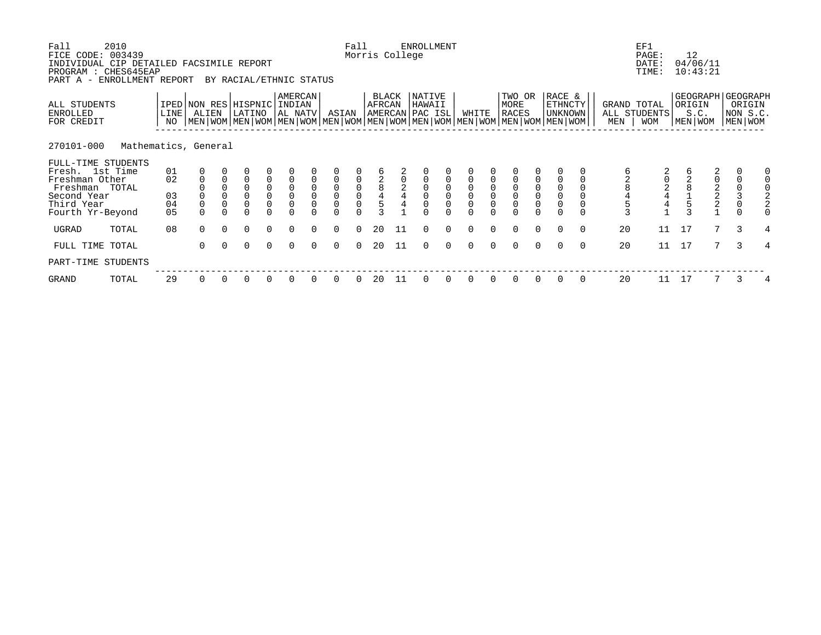| Fall<br>FICE CODE: 003439<br>INDIVIDUAL CIP DETAILED FACSIMILE REPORT<br>PROGRAM : CHES645EAP<br>PART A - ENROLLMENT REPORT | 2010                 |            |                |             | BY RACIAL/ETHNIC STATUS                                                                                                                              |                                             |                                   |                          |                                            | Fall                                       | Morris College   |        | <b>ENROLLMENT</b>                   |          |             |                |                                      |                                                                   |                                      |          |                | EF1<br>PAGE:<br>DATE:<br>TIME:            |    | 12<br>04/06/11<br>10:43:21                       |                |                               |   |
|-----------------------------------------------------------------------------------------------------------------------------|----------------------|------------|----------------|-------------|------------------------------------------------------------------------------------------------------------------------------------------------------|---------------------------------------------|-----------------------------------|--------------------------|--------------------------------------------|--------------------------------------------|------------------|--------|-------------------------------------|----------|-------------|----------------|--------------------------------------|-------------------------------------------------------------------|--------------------------------------|----------|----------------|-------------------------------------------|----|--------------------------------------------------|----------------|-------------------------------|---|
| ALL STUDENTS<br>ENROLLED<br>FOR CREDIT                                                                                      |                      | LINE<br>NO | ALIEN          |             | IPED NON RES HISPNIC INDIAN<br>LATINO<br>  MEN   WOM   MEN   WOM   MEN   WOM   MEN   WOM   MEN   WOM   MEN   WOM   MEN   WOM   MEN   WOM   MEN   WOM |                                             | AMERCAN<br>AL NATV                |                          | ASIAN                                      |                                            | BLACK<br>AFRCAN  |        | NATIVE<br>HAWAII<br>AMERCAN PAC ISL |          | WHITE       |                | TWO OR<br>MORE<br><b>RACES</b>       |                                                                   | RACE &<br>ETHNCTY<br><b>UNKNOWN</b>  |          | MEN            | GRAND TOTAL<br>ALL STUDENTS<br><b>WOM</b> |    | GEOGRAPH GEOGRAPH<br>ORIGIN<br>S.C.<br>MEN   WOM |                | ORIGIN<br>NON S.C.<br>MEN WOM |   |
| 270101-000                                                                                                                  | Mathematics, General |            |                |             |                                                                                                                                                      |                                             |                                   |                          |                                            |                                            |                  |        |                                     |          |             |                |                                      |                                                                   |                                      |          |                |                                           |    |                                                  |                |                               |   |
| FULL-TIME STUDENTS<br>Fresh. 1st Time                                                                                       |                      | 01         |                |             |                                                                                                                                                      |                                             |                                   |                          |                                            |                                            |                  |        |                                     |          |             |                |                                      |                                                                   |                                      |          |                |                                           |    |                                                  |                |                               |   |
| Freshman Other<br>Freshman TOTAL                                                                                            |                      | 02         | $\mathbf 0$    | $\mathbf 0$ | $\Omega$<br>$\overline{0}$                                                                                                                           | $\mathsf 0$                                 |                                   | $\Omega$<br>$\mathsf{O}$ | $\overline{0}$                             | 0                                          |                  |        |                                     |          |             |                |                                      |                                                                   |                                      |          |                |                                           |    |                                                  | $\frac{2}{0}$  | $\mathbf 0$                   |   |
| Second Year<br>Third Year                                                                                                   |                      | 03<br>04   | $\overline{0}$ | $\Omega$    | $\mathsf{O}\xspace$                                                                                                                                  | $\begin{smallmatrix}0\0\0\end{smallmatrix}$ | $_{\rm 0}^{\rm 0}$<br>$\mathbf 0$ | $\Omega$                 | $\begin{smallmatrix}0\\0\end{smallmatrix}$ | $\begin{smallmatrix}0\\0\end{smallmatrix}$ | 2<br>8<br>4<br>5 | $_4^2$ | $\mathsf 0$                         |          | $\mathbf 0$ | $\overline{0}$ | $_{\rm 0}^{\rm 0}$<br>$\overline{0}$ | $\begin{smallmatrix}0\\0\end{smallmatrix}$<br>$\mathsf{O}\xspace$ | $_{\rm 0}^{\rm 0}$<br>$\overline{0}$ |          | 2845           | $\frac{2}{4}$<br>$rac{4}{1}$              |    |                                                  | $\frac{2}{2}$  | $\frac{0}{3}$<br>$\mathbf 0$  |   |
| Fourth Yr-Beyond                                                                                                            |                      | 05         | $\Omega$       |             | $\Omega$                                                                                                                                             |                                             |                                   |                          |                                            |                                            |                  |        |                                     |          |             |                | $\Omega$                             |                                                                   |                                      |          | $\overline{3}$ |                                           |    |                                                  |                |                               |   |
| UGRAD                                                                                                                       | TOTAL                | 08         | $\Omega$       | $\Omega$    | $\Omega$                                                                                                                                             | $\Omega$                                    | $\Omega$                          | $\Omega$                 | $\Omega$                                   | $\Omega$                                   | 20               | 11     | $\Omega$                            | $\Omega$ | $\Omega$    | $\Omega$       | $\Omega$                             | $\Omega$                                                          | $\Omega$                             | $\Omega$ | 20             | 11                                        | 17 |                                                  | $\overline{7}$ | 3                             | 4 |
| FULL TIME TOTAL                                                                                                             |                      |            | $\Omega$       | $\Omega$    | $\Omega$                                                                                                                                             | $\Omega$                                    | $\Omega$                          | $\Omega$                 | $\Omega$                                   | $\Omega$                                   | 20               | 11     | $\Omega$                            | $\Omega$ | $\Omega$    |                | $\Omega$                             | $\Omega$                                                          | $\Omega$                             | $\Omega$ | 20             | 11                                        | 17 |                                                  | 7              | $\mathcal{L}$                 | 4 |
| PART-TIME STUDENTS                                                                                                          |                      |            |                |             |                                                                                                                                                      |                                             |                                   |                          |                                            |                                            |                  |        |                                     |          |             |                |                                      |                                                                   |                                      |          |                |                                           |    |                                                  |                |                               |   |
| GRAND                                                                                                                       | TOTAL                | 29         | 0              |             | 0                                                                                                                                                    |                                             |                                   |                          |                                            |                                            | 20               | 11     |                                     |          |             |                | 0                                    | 0                                                                 | 0                                    | 0        | 20             | 11                                        | 17 |                                                  |                | 3                             |   |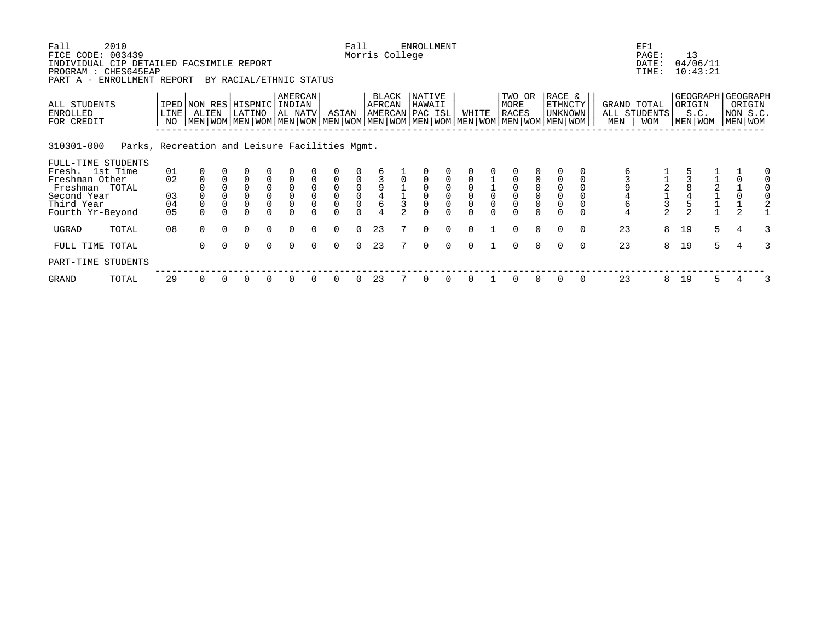| Fall<br>FICE CODE: 003439<br>INDIVIDUAL CIP DETAILED FACSIMILE REPORT                                  | 2010                                           |                      |                                                                                                                                                     |                      |                         |                                                                                 |                                              |                                        |                                 | Fall                                          | Morris College  | <b>ENROLLMENT</b>                   |                      |                      |                                |                      |                                            |                      |            | EF1<br>PAGE:<br>DATE:                     |          | 13<br>04/06/11                                     |        |                               |        |
|--------------------------------------------------------------------------------------------------------|------------------------------------------------|----------------------|-----------------------------------------------------------------------------------------------------------------------------------------------------|----------------------|-------------------------|---------------------------------------------------------------------------------|----------------------------------------------|----------------------------------------|---------------------------------|-----------------------------------------------|-----------------|-------------------------------------|----------------------|----------------------|--------------------------------|----------------------|--------------------------------------------|----------------------|------------|-------------------------------------------|----------|----------------------------------------------------|--------|-------------------------------|--------|
| PROGRAM : CHES645EAP<br>PART A -                                                                       | ENROLLMENT REPORT                              |                      |                                                                                                                                                     |                      | BY RACIAL/ETHNIC STATUS |                                                                                 |                                              |                                        |                                 |                                               |                 |                                     |                      |                      |                                |                      |                                            |                      |            | TIME:                                     |          | 10:43:21                                           |        |                               |        |
| ALL STUDENTS<br>ENROLLED<br>FOR CREDIT                                                                 |                                                | LINE<br>NO           | IPED NON RES HISPNIC INDIAN<br>ALIEN<br>  MEN   WOM   MEN   WOM   MEN   WOM   MEN   WOM   MEN   WOM   MEN   WOM   MEN   WOM   MEN   WOM   MEN   WOM |                      | LATINO                  |                                                                                 | <b>AMERCAN</b><br>AL NATV                    |                                        | ASIAN                           |                                               | BLACK<br>AFRCAN | NATIVE<br>HAWAII<br>AMERCAN PAC ISL |                      | WHITE                | TWO OR<br>MORE<br><b>RACES</b> |                      | RACE &<br><b>ETHNCTY</b><br><b>UNKNOWN</b> |                      | MEN        | GRAND TOTAL<br>ALL STUDENTS<br><b>WOM</b> |          | GEOGRAPH GEOGRAPH<br>ORIGIN<br>S.C.<br>  MEN   WOM |        | ORIGIN<br>NON S.C.<br>MEN WOM |        |
| 310301-000                                                                                             | Parks, Recreation and Leisure Facilities Mgmt. |                      |                                                                                                                                                     |                      |                         |                                                                                 |                                              |                                        |                                 |                                               |                 |                                     |                      |                      |                                |                      |                                            |                      |            |                                           |          |                                                    |        |                               |        |
| FULL-TIME STUDENTS<br>Fresh. 1st Time<br>Freshman Other<br>Freshman TOTAL<br>Second Year<br>Third Year |                                                | 01<br>02<br>03<br>04 | $\mathbf 0$                                                                                                                                         | $\Omega$             | $\Omega$<br>$\Omega$    | $\begin{smallmatrix}0\0\0\end{smallmatrix}$<br>$\overline{0}$<br>$\overline{0}$ | $\mathsf 0$<br>$\mathbf 0$<br>$\overline{0}$ | $\mathbf 0$<br>$\mathbf 0$<br>$\Omega$ | $\mathsf{O}\xspace$<br>$\Omega$ | $\begin{smallmatrix}0\\0\\0\end{smallmatrix}$ |                 | $\Omega$                            |                      |                      | $_0^0$<br>$\mathbf 0$          |                      | $\mathbf 0$<br>$\mathsf 0$                 |                      | $\epsilon$ |                                           |          |                                                    |        | $\frac{1}{0}$                 |        |
| Fourth Yr-Beyond                                                                                       |                                                | 05                   | $\Omega$                                                                                                                                            |                      | $\Omega$                |                                                                                 |                                              |                                        |                                 |                                               |                 |                                     |                      |                      |                                |                      |                                            |                      | 4          | $\frac{3}{2}$                             |          |                                                    |        |                               |        |
| UGRAD<br>FULL TIME TOTAL                                                                               | TOTAL                                          | 08                   | $\Omega$<br>$\Omega$                                                                                                                                | $\Omega$<br>$\Omega$ | $\Omega$<br>$\Omega$    | $\Omega$<br>$\Omega$                                                            | $\Omega$<br>$\Omega$                         | $\Omega$<br>$\Omega$                   | $\Omega$<br>$\Omega$            | $\Omega$<br>$\Omega$                          | 23<br>23        | $\Omega$<br>$\Omega$                | $\Omega$<br>$\Omega$ | $\Omega$<br>$\Omega$ | $\Omega$<br>$\Omega$           | $\Omega$<br>$\Omega$ | $\Omega$<br>$\Omega$                       | $\Omega$<br>$\Omega$ | 23<br>23   | 8<br>8                                    | 19<br>19 |                                                    | 5<br>5 | $\overline{4}$                | 3<br>3 |
| PART-TIME STUDENTS                                                                                     |                                                |                      |                                                                                                                                                     |                      |                         |                                                                                 |                                              |                                        |                                 |                                               |                 |                                     |                      |                      |                                |                      |                                            |                      |            |                                           |          |                                                    |        |                               |        |
| GRAND                                                                                                  | TOTAL                                          | 29                   | $\Omega$                                                                                                                                            | $\Omega$             | 0                       |                                                                                 |                                              |                                        |                                 |                                               | 23              |                                     |                      |                      | 0                              | 0                    | $\Omega$                                   | $\Omega$             | 23         | 8                                         | 19       |                                                    | 5.     |                               |        |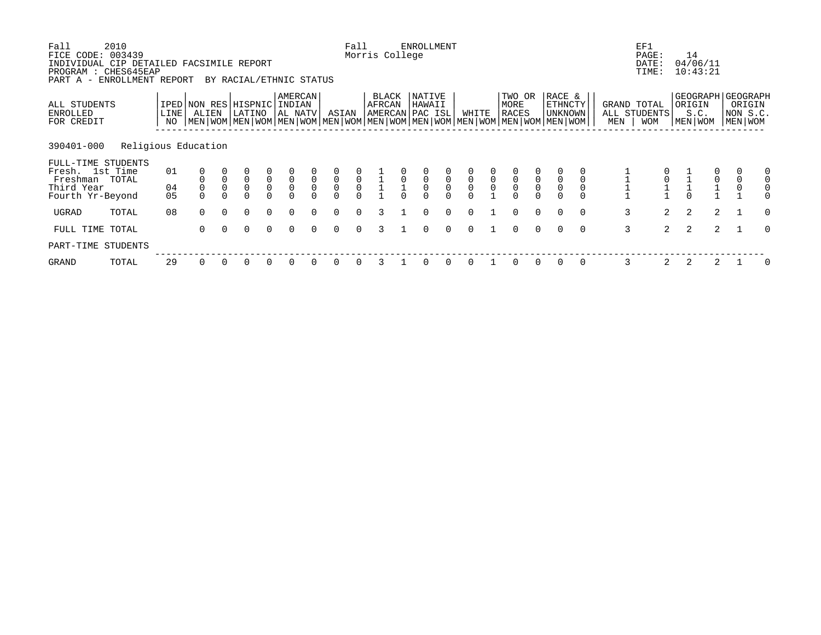| Fall<br>FICE CODE:<br>INDIVIDUAL CIP DETAILED FACSIMILE REPORT<br>PROGRAM : CHES645EAP<br>PART A - ENROLLMENT REPORT | 2010<br>003439      |            |                                                                                                                                              |                            | BY RACIAL/ETHNIC STATUS       |                                           |                                           |                             |                                  | Fall                                | Morris College  |              | <b>ENROLLMENT</b>                    |                                  |             |                              |                                |                     |                              |          |     | EF1<br>PAGE:<br>DATE:<br>TIME:     | 14     | 04/06/11<br>10:43:21 |                                                    |          |
|----------------------------------------------------------------------------------------------------------------------|---------------------|------------|----------------------------------------------------------------------------------------------------------------------------------------------|----------------------------|-------------------------------|-------------------------------------------|-------------------------------------------|-----------------------------|----------------------------------|-------------------------------------|-----------------|--------------|--------------------------------------|----------------------------------|-------------|------------------------------|--------------------------------|---------------------|------------------------------|----------|-----|------------------------------------|--------|----------------------|----------------------------------------------------|----------|
| ALL STUDENTS<br>ENROLLED<br>FOR CREDIT                                                                               |                     | LINE<br>NO | IPED NON RES HISPNIC<br>ALIEN<br>  MEN   WOM   MEN   WOM   MEN   WOM   MEN   WOM   MEN   WOM   MEN   WOM   MEN   WOM   MEN   WOM   MEN   WOM |                            | LATINO                        |                                           | AMERCAN<br>  INDIAN<br>AL NATV            |                             | ASIAN                            |                                     | BLACK<br>AFRCAN |              | NATIVE<br>HAWAII<br>AMERCAN PAC ISL  |                                  | WHITE       |                              | TWO OR<br>MORE<br><b>RACES</b> |                     | RACE &<br>ETHNCTY<br>UNKNOWN |          | MEN | GRAND TOTAL<br>ALL STUDENTS<br>WOM | ORIGIN | S.C.<br>MEN   WOM    | GEOGRAPH GEOGRAPH<br>ORIGIN<br>NON S.C.<br>MEN WOM |          |
| 390401-000                                                                                                           | Religious Education |            |                                                                                                                                              |                            |                               |                                           |                                           |                             |                                  |                                     |                 |              |                                      |                                  |             |                              |                                |                     |                              |          |     |                                    |        |                      |                                                    |          |
| FULL-TIME STUDENTS<br>Fresh. 1st Time<br>Freshman TOTAL<br>Third Year                                                |                     | 01<br>04   |                                                                                                                                              | $\mathsf 0$<br>$\mathbf 0$ | $\mathsf 0$<br>$\overline{0}$ | $\begin{matrix} 0 \\ 0 \\ 0 \end{matrix}$ | $\begin{matrix} 0 \\ 0 \\ 0 \end{matrix}$ | $\mathbf 0$<br>$\mathsf{O}$ | $\overline{0}$<br>$\overline{0}$ | $\begin{matrix}0\\0\\0\end{matrix}$ |                 | $\mathsf{O}$ | $\begin{matrix} 0 \\ 0 \end{matrix}$ | $\overline{0}$<br>$\overline{0}$ | $\mathsf 0$ | $\mathsf{O}$<br>$\mathsf{O}$ | $\overline{0}$<br>0            | $\overline{0}$<br>0 | $\mathbf 0$                  |          |     |                                    |        | $\mathsf{O}\xspace$  | $\mathsf 0$<br>$\mathsf{O}\xspace$                 |          |
| Fourth Yr-Beyond                                                                                                     |                     | 05         |                                                                                                                                              |                            | $\Omega$                      |                                           |                                           |                             | $\Omega$                         |                                     |                 |              |                                      |                                  |             |                              |                                |                     |                              |          |     |                                    |        |                      |                                                    |          |
| UGRAD                                                                                                                | TOTAL               | 08         | $\Omega$                                                                                                                                     | $\Omega$                   | $\Omega$                      | $\Omega$                                  |                                           |                             |                                  |                                     |                 |              | $\Omega$                             | $\Omega$                         |             |                              | $\Omega$                       | $\Omega$            | $\Omega$                     | $\Omega$ | 3   | $\overline{2}$                     | 2      | 2                    |                                                    | $\Omega$ |
| FULL TIME TOTAL                                                                                                      |                     |            | $\Omega$                                                                                                                                     | $\Omega$                   | $\Omega$                      | $\Omega$                                  | $\Omega$                                  | $\Omega$                    | $\Omega$                         | $\Omega$                            | 3               |              | $\Omega$                             | $\Omega$                         | $\Omega$    |                              | $\Omega$                       | $\Omega$            | $\Omega$                     | $\Omega$ | 3   | $\overline{2}$                     | 2      | 2                    |                                                    | $\Omega$ |
| PART-TIME STUDENTS                                                                                                   |                     |            |                                                                                                                                              |                            |                               |                                           |                                           |                             |                                  |                                     |                 |              |                                      |                                  |             |                              |                                |                     |                              |          |     |                                    |        |                      |                                                    |          |
| GRAND                                                                                                                | TOTAL               | 29         | 0                                                                                                                                            |                            | 0                             | $\Omega$                                  |                                           |                             |                                  |                                     |                 |              |                                      |                                  |             |                              |                                | $\Omega$            | 0                            | 0        | 3   | 2                                  | 2      | 2                    |                                                    | 0        |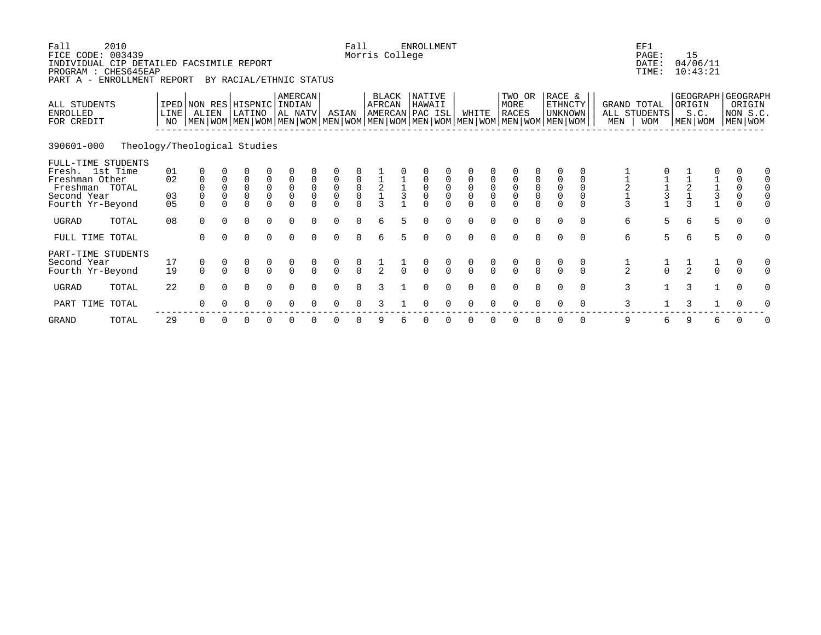| Fall<br>FICE CODE: 003439<br>INDIVIDUAL CIP DETAILED FACSIMILE REPORT<br>PROGRAM : CHES645EAP<br>PART A - ENROLLMENT REPORT | 2010                         |                                    |                                                  |                                             | BY RACIAL/ETHNIC STATUS                               |                                                       |                                                       |                            |                                                                         | Fall                                          | Morris College                                    |                    | <b>ENROLLMENT</b>                   |                                                     |                                                       |                                                |                                                                                                                                               |                                                       |                                                |                                                  |                                                   | EF1<br>PAGE:<br>DATE:<br>TIME:            |                                                   | 15<br>04/06/11<br>10:43:21                         |   |                                                   |   |
|-----------------------------------------------------------------------------------------------------------------------------|------------------------------|------------------------------------|--------------------------------------------------|---------------------------------------------|-------------------------------------------------------|-------------------------------------------------------|-------------------------------------------------------|----------------------------|-------------------------------------------------------------------------|-----------------------------------------------|---------------------------------------------------|--------------------|-------------------------------------|-----------------------------------------------------|-------------------------------------------------------|------------------------------------------------|-----------------------------------------------------------------------------------------------------------------------------------------------|-------------------------------------------------------|------------------------------------------------|--------------------------------------------------|---------------------------------------------------|-------------------------------------------|---------------------------------------------------|----------------------------------------------------|---|---------------------------------------------------|---|
| ALL STUDENTS<br><b>ENROLLED</b><br>FOR CREDIT                                                                               |                              | IPED NON RES HISPNIC<br>LINE<br>NO | ALIEN                                            |                                             | LATINO                                                |                                                       | AMERCAN<br>  INDIAN<br>  AL NATV                      |                            | ASIAN                                                                   |                                               | BLACK<br>AFRCAN                                   |                    | NATIVE<br>HAWAII<br>AMERCAN PAC ISL |                                                     | WHITE                                                 |                                                | TWO OR<br>MORE<br><b>RACES</b><br>  MEN   WOM   MEN   WOM   MEN   WOM   MEN   WOM   MEN   WOM   MEN   WOM   MEN   WOM   MEN   WOM   MEN   WOM |                                                       | RACE &<br>ETHNCTY<br><b>UNKNOWN</b>            |                                                  | MEN                                               | GRAND TOTAL<br>ALL STUDENTS<br><b>WOM</b> |                                                   | GEOGRAPH GEOGRAPH<br>ORIGIN<br>S.C.<br>  MEN   WOM |   | ORIGIN<br>NON S.C.<br>MEN WOM                     |   |
| 390601-000                                                                                                                  | Theology/Theological Studies |                                    |                                                  |                                             |                                                       |                                                       |                                                       |                            |                                                                         |                                               |                                                   |                    |                                     |                                                     |                                                       |                                                |                                                                                                                                               |                                                       |                                                |                                                  |                                                   |                                           |                                                   |                                                    |   |                                                   |   |
| FULL-TIME STUDENTS<br>Fresh. 1st Time<br>Freshman Other<br>Freshman TOTAL<br>Second Year<br>Fourth Yr-Beyond                |                              | 01<br>02<br>03<br>0 <sub>5</sub>   | 0<br>$\mathbf 0$<br>$\mathbf 0$<br>0<br>$\Omega$ | $\mathbf 0$<br>$\mathsf 0$<br>0<br>$\Omega$ | 0<br>$\begin{matrix} 0 \\ 0 \end{matrix}$<br>$\Omega$ | $\begin{matrix} 0 \\ 0 \\ 0 \end{matrix}$<br>$\Omega$ | $\begin{matrix} 0 \\ 0 \\ 0 \end{matrix}$<br>$\Omega$ | $\overline{0}$<br>$\Omega$ | $\begin{matrix} 0 \\ 0 \end{matrix}$<br>$\overline{0}$<br>0<br>$\Omega$ | $\begin{matrix}0\\0\\0\end{matrix}$<br>$\cap$ | $\begin{array}{c}\n1 \\ 2 \\ 1 \\ 3\n\end{array}$ | $\frac{1}{1}$<br>3 | $\overline{0}$<br>0<br>$\cap$       | $\begin{matrix} 0 \\ 0 \\ 0 \end{matrix}$<br>$\cap$ | $\begin{matrix} 0 \\ 0 \\ 0 \end{matrix}$<br>$\Omega$ | $\begin{matrix} 0 \\ 0 \end{matrix}$<br>$\cap$ | $\begin{matrix} 0 \\ 0 \\ 0 \end{matrix}$<br>$\Omega$                                                                                         | $\begin{matrix} 0 \\ 0 \\ 0 \end{matrix}$<br>$\Omega$ | $\mathsf 0$<br>$\overline{0}$<br>0<br>$\Omega$ | $\mathbf 0$<br>0<br>0<br>$\Omega$                | $\begin{array}{c}\n1 \\ 2 \\ 1 \\ 3\n\end{array}$ | $\frac{1}{3}$                             | $\begin{array}{c}\n1 \\ 2 \\ 1 \\ 3\n\end{array}$ | $\begin{array}{c} 1 \\ 1 \\ 3 \\ 1 \end{array}$    |   | $\mathsf{O}\xspace$<br>$\overline{0}$<br>$\Omega$ |   |
| <b>UGRAD</b>                                                                                                                | TOTAL                        | 08                                 | $\Omega$                                         | $\Omega$                                    | 0                                                     | $\Omega$                                              | $\Omega$                                              |                            | $\Omega$                                                                | $\cap$                                        | 6                                                 | 5.                 | ∩                                   | U                                                   | ∩                                                     |                                                | $\Omega$                                                                                                                                      | $\Omega$                                              | $\Omega$                                       | $\Omega$                                         | 6                                                 | 5                                         | 6                                                 |                                                    | 5 | $\Omega$                                          |   |
| FULL TIME TOTAL                                                                                                             |                              |                                    | $\Omega$                                         | $\Omega$                                    | $\Omega$                                              | $\Omega$                                              | $\Omega$                                              | $\Omega$                   | $\Omega$                                                                | $\Omega$                                      | 6                                                 | 5.                 | $\Omega$                            | $\Omega$                                            | $\Omega$                                              | $\Omega$                                       | $\mathbf 0$                                                                                                                                   | $\Omega$                                              | $\Omega$                                       | $\Omega$                                         | 6                                                 | 5                                         | 6                                                 | 5                                                  |   | $\overline{0}$                                    | U |
| PART-TIME STUDENTS<br>Second Year<br>Fourth Yr-Beyond<br><b>UGRAD</b>                                                       | TOTAL                        | 17<br>19<br>22                     | $\begin{matrix} 0 \\ 0 \end{matrix}$<br>$\Omega$ | $\frac{0}{0}$<br>$\Omega$                   | $\begin{matrix} 0 \\ 0 \end{matrix}$<br>$\Omega$      | $\begin{matrix} 0 \\ 0 \end{matrix}$<br>$\Omega$      | $\frac{0}{0}$<br>$\Omega$                             | $\frac{0}{0}$              | $\frac{0}{0}$<br>$\Omega$                                               | $\frac{0}{0}$                                 | $\frac{1}{2}$                                     |                    | $\frac{0}{0}$                       | $\begin{matrix} 0 \\ 0 \end{matrix}$                | $\frac{0}{0}$                                         | $\frac{0}{0}$                                  | $\begin{matrix}0\\0\end{matrix}$<br>$\Omega$                                                                                                  | $\begin{matrix} 0 \\ 0 \end{matrix}$<br>$\Omega$      | $\frac{0}{0}$                                  | $\begin{matrix} 0 \\ 0 \end{matrix}$<br>$\Omega$ | $\frac{1}{2}$<br>3                                | $\frac{1}{0}$                             | $\frac{1}{2}$<br>3                                | $\frac{1}{0}$<br>$\mathbf{1}$                      |   | 0<br>$\Omega$<br>$\Omega$                         |   |
| PART TIME                                                                                                                   | TOTAL                        |                                    | $\Omega$                                         |                                             | O                                                     | 0                                                     | $\Omega$                                              |                            | ∩                                                                       |                                               |                                                   |                    |                                     |                                                     |                                                       |                                                |                                                                                                                                               |                                                       |                                                | $\Omega$                                         | 3                                                 |                                           | 3                                                 |                                                    |   | $\Omega$                                          |   |
|                                                                                                                             |                              |                                    |                                                  |                                             |                                                       |                                                       |                                                       |                            |                                                                         |                                               |                                                   |                    |                                     |                                                     |                                                       |                                                |                                                                                                                                               |                                                       |                                                |                                                  |                                                   |                                           |                                                   |                                                    |   |                                                   |   |

GRAND TOTAL 29 0 0 0 0 0 0 0 0 9 6 0 0 0 0 0 0 0 0 9 6 9 6 0 0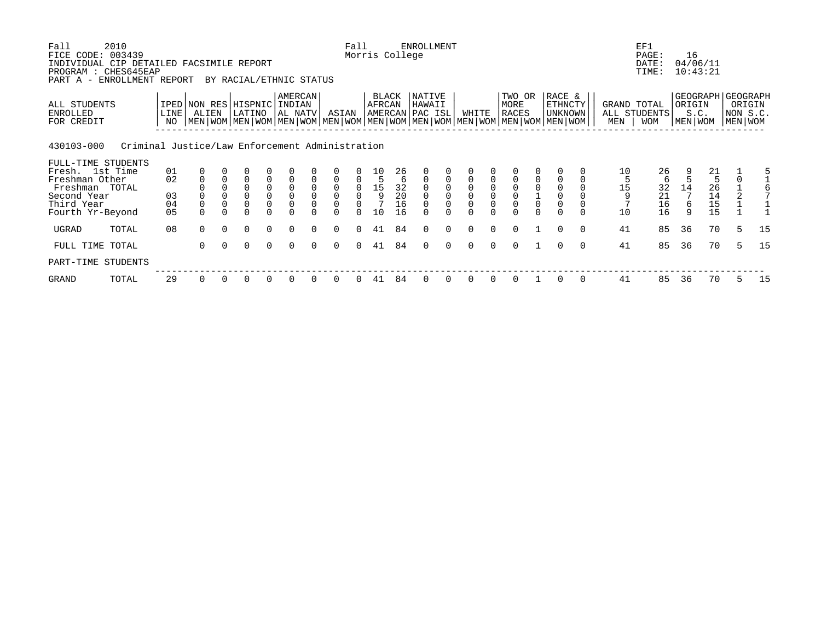| Fall<br>FICE CODE:<br>INDIVIDUAL CIP DETAILED FACSIMILE REPORT<br>PROGRAM : CHES645EAP<br>PART A - | 2010<br>003439<br>ENROLLMENT REPORT             |                |             |          | BY RACIAL/ETHNIC STATUS                      |                                             |                                     |                           |                               | Fall                     | Morris College                                           |                                               | <b>ENROLLMENT</b>                   |          |          |          |                                                                                                                                        |          |                                              |          |         | EF1<br>PAGE:<br>DATE:<br>TIME:                | 16     | 04/06/11<br>10:43:21                   |    |                               |
|----------------------------------------------------------------------------------------------------|-------------------------------------------------|----------------|-------------|----------|----------------------------------------------|---------------------------------------------|-------------------------------------|---------------------------|-------------------------------|--------------------------|----------------------------------------------------------|-----------------------------------------------|-------------------------------------|----------|----------|----------|----------------------------------------------------------------------------------------------------------------------------------------|----------|----------------------------------------------|----------|---------|-----------------------------------------------|--------|----------------------------------------|----|-------------------------------|
| ALL STUDENTS<br>ENROLLED<br>FOR CREDIT                                                             |                                                 | LINE<br>NO     | ALIEN       |          | IPED   NON RES   HISPNIC  <br>LATINO         |                                             | <b>AMERCAN</b><br>INDIAN<br>AL NATV |                           | ASIAN                         |                          | BLACK<br>AFRCAN                                          |                                               | NATIVE<br>HAWAII<br>AMERCAN PAC ISL |          | WHITE    |          | TWO OR<br>MORE<br>RACES<br>  MEN   WOM   MEN   WOM   MEN   WOM   MEN   WOM   MEN   WOM   MEN   WOM   MEN   WOM   MEN   WOM   MEN   WOM |          | RACE &<br>ETHNCTY<br><b>UNKNOWN</b>          |          | MEN     | GRAND TOTAL<br>ALL STUDENTS<br><b>WOM</b>     | ORIGIN | GEOGRAPH GEOGRAPH<br>S.C.<br>MEN WOM   |    | ORIGIN<br>NON S.C.<br>MEN WOM |
| 430103-000                                                                                         | Criminal Justice/Law Enforcement Administration |                |             |          |                                              |                                             |                                     |                           |                               |                          |                                                          |                                               |                                     |          |          |          |                                                                                                                                        |          |                                              |          |         |                                               |        |                                        |    |                               |
| FULL-TIME STUDENTS<br>Fresh. 1st Time                                                              |                                                 | 01             | 0           |          |                                              |                                             |                                     |                           |                               |                          |                                                          |                                               |                                     |          |          |          |                                                                                                                                        |          |                                              |          | 10      |                                               |        |                                        |    |                               |
| Freshman Other                                                                                     |                                                 | 02             | $\mathbf 0$ | $\Omega$ | $\Omega$                                     | 0                                           |                                     | $\Omega$                  | $\Omega$                      | 0                        | 10<br>5                                                  | 26                                            | $\Omega$                            |          |          |          |                                                                                                                                        |          |                                              |          | 5       | 26<br>6                                       |        | $\begin{array}{c} 21 \\ 5 \end{array}$ |    | 5                             |
| Freshman TOTAL<br>Second Year<br>Third Year                                                        |                                                 | 03<br>04       | $\Omega$    |          | $\overline{0}$<br>$\overline{0}$<br>$\Omega$ | $\begin{smallmatrix}0\0\0\end{smallmatrix}$ | 0                                   | 0<br>$\Omega$<br>$\Omega$ | $\mathsf 0$<br>$\overline{0}$ | 0<br>$\mathsf{O}\xspace$ | $\begin{array}{c} 15 \\ 9 \end{array}$<br>$\overline{7}$ | $\begin{array}{c} 32 \\ 20 \end{array}$<br>16 | $\Omega$                            |          |          |          | $\begin{smallmatrix}0\\0\end{smallmatrix}$<br>$\Omega$                                                                                 | 0        | $\mathbf 0$<br>$\mathsf 0$<br>$\overline{0}$ |          | 15<br>9 | $\begin{array}{c} 32 \\ 21 \end{array}$<br>16 | 14     | $^{26}_{14}$<br>15                     |    |                               |
| Fourth Yr-Beyond                                                                                   |                                                 | 0 <sub>5</sub> |             |          | $\Omega$                                     |                                             |                                     |                           |                               | $\Omega$                 | 10                                                       | 16                                            |                                     |          |          |          | $\Omega$                                                                                                                               | $\Omega$ | $\Omega$                                     |          | 10      | 16                                            | q      | 15                                     |    |                               |
| UGRAD                                                                                              | TOTAL                                           | 08             | $\Omega$    | $\Omega$ | $\Omega$                                     | $\Omega$                                    | $\Omega$                            | $\Omega$                  | $\Omega$                      | $\Omega$                 | 41                                                       | 84                                            | $\Omega$                            | $\Omega$ | $\Omega$ | $\Omega$ | $\Omega$                                                                                                                               |          | $\Omega$                                     | $\Omega$ | 41      | 85                                            | 36     | 70                                     | -5 | 15                            |
| FULL TIME TOTAL                                                                                    |                                                 |                | $\Omega$    | $\Omega$ | $\Omega$                                     | $\Omega$                                    | $\Omega$                            | $\cap$                    | $\Omega$                      | $\Omega$                 | 41                                                       | 84                                            | $\Omega$                            | $\Omega$ | $\Omega$ | $\Omega$ | $\Omega$                                                                                                                               |          | $\Omega$                                     | $\Omega$ | 41      | 85                                            | 36     | 70                                     | 5  | 15                            |
| PART-TIME STUDENTS                                                                                 |                                                 |                |             |          |                                              |                                             |                                     |                           |                               |                          |                                                          |                                               |                                     |          |          |          |                                                                                                                                        |          |                                              |          |         |                                               |        |                                        |    |                               |
| GRAND                                                                                              | TOTAL                                           | 29             | 0           |          | 0                                            |                                             |                                     |                           |                               |                          | 41                                                       | 84                                            |                                     |          |          |          | 0                                                                                                                                      |          | 0                                            | $\Omega$ | 41      | 85                                            | 36     | 70                                     | 5  | 15                            |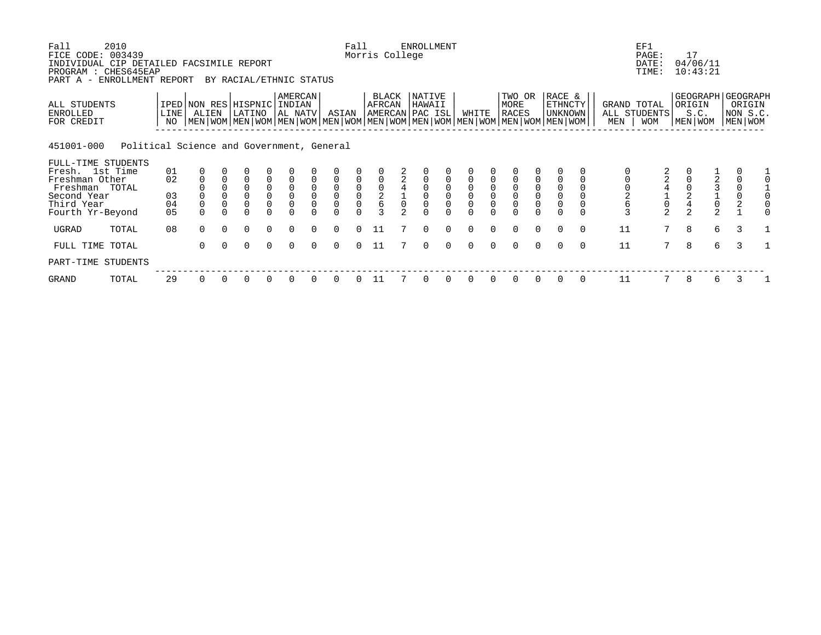| Fall<br>FICE CODE: 003439<br>INDIVIDUAL CIP DETAILED FACSIMILE REPORT<br>PROGRAM : CHES645EAP<br>PART A - ENROLLMENT REPORT | 2010                                      |            |                                                                                                                                                    |          | BY RACIAL/ETHNIC STATUS |                                             |                                     |          |                                            | Fall                                      | Morris College                              |                | <b>ENROLLMENT</b>                   |          |          |          |                                            |                                              |                                            |          |                  | EF1<br>PAGE:<br>DATE:<br>TIME:                    |                | 17<br>04/06/11<br>10:43:21                     |       |                               |  |
|-----------------------------------------------------------------------------------------------------------------------------|-------------------------------------------|------------|----------------------------------------------------------------------------------------------------------------------------------------------------|----------|-------------------------|---------------------------------------------|-------------------------------------|----------|--------------------------------------------|-------------------------------------------|---------------------------------------------|----------------|-------------------------------------|----------|----------|----------|--------------------------------------------|----------------------------------------------|--------------------------------------------|----------|------------------|---------------------------------------------------|----------------|------------------------------------------------|-------|-------------------------------|--|
| ALL STUDENTS<br>ENROLLED<br>FOR CREDIT                                                                                      |                                           | LINE<br>NO | IPED   NON RES   HISPNIC  <br>ALIEN<br>  MEN   WOM   MEN   WOM   MEN   WOM   MEN   WOM   MEN   WOM   MEN   WOM   MEN   WOM   MEN   WOM   MEN   WOM |          | LATINO                  |                                             | <b>AMERCAN</b><br>INDIAN<br>AL NATV |          | ASIAN                                      |                                           | BLACK<br>AFRCAN                             |                | NATIVE<br>HAWAII<br>AMERCAN PAC ISL |          | WHITE    |          | TWO OR<br>MORE<br><b>RACES</b>             |                                              | RACE &<br><b>ETHNCTY</b><br><b>UNKNOWN</b> |          | MEN              | GRAND TOTAL<br>ALL STUDENTS<br><b>WOM</b>         |                | GEOGRAPH GEOGRAPH<br>ORIGIN<br>S.C.<br>MEN WOM |       | ORIGIN<br>NON S.C.<br>MEN WOM |  |
| 451001-000                                                                                                                  | Political Science and Government, General |            |                                                                                                                                                    |          |                         |                                             |                                     |          |                                            |                                           |                                             |                |                                     |          |          |          |                                            |                                              |                                            |          |                  |                                                   |                |                                                |       |                               |  |
| FULL-TIME STUDENTS                                                                                                          |                                           |            |                                                                                                                                                    |          |                         |                                             |                                     |          |                                            |                                           |                                             |                |                                     |          |          |          |                                            |                                              |                                            |          |                  |                                                   |                |                                                |       |                               |  |
| Fresh. 1st Time<br>Freshman Other                                                                                           |                                           | 01<br>02   | $\mathbf 0$                                                                                                                                        | $\Omega$ | $\Omega$                | 0                                           |                                     | $\Omega$ | $\Omega$                                   | $\mathbf 0$                               |                                             | $\overline{a}$ | $\Omega$                            |          |          |          |                                            |                                              |                                            |          |                  |                                                   |                |                                                |       | $\Omega$                      |  |
| Freshman TOTAL                                                                                                              |                                           |            |                                                                                                                                                    |          | $\overline{0}$          | $\begin{smallmatrix}0\0\0\end{smallmatrix}$ | $_{\rm 0}^{\rm 0}$                  | $_0^0$   | $\begin{smallmatrix}0\\0\end{smallmatrix}$ |                                           | $\begin{smallmatrix}0\0\2\end{smallmatrix}$ |                |                                     |          |          |          | $\begin{smallmatrix}0\\0\end{smallmatrix}$ | $\begin{smallmatrix} 0\\0 \end{smallmatrix}$ | $_{\rm 0}^{\rm 0}$                         |          |                  |                                                   |                |                                                |       | $_{\rm 0}^{\rm 0}$            |  |
| Second Year                                                                                                                 |                                           | 03         |                                                                                                                                                    | $\Omega$ | $\overline{0}$          |                                             |                                     |          |                                            | $\begin{matrix} 0 \\ 0 \\ 0 \end{matrix}$ |                                             |                | $\mathsf{O}\xspace$<br>$\Omega$     |          | $\Omega$ | $\Omega$ | $\Omega$                                   |                                              |                                            |          |                  |                                                   | $\overline{a}$ |                                                |       |                               |  |
| Third Year<br>Fourth Yr-Beyond                                                                                              |                                           | 04<br>05   | $\Omega$                                                                                                                                           | $\Omega$ | $\Omega$<br>$\Omega$    |                                             | 0                                   | $\Omega$ |                                            |                                           |                                             |                |                                     |          |          | $\Omega$ | $\Omega$                                   | $\mathsf{O}\xspace$                          | $\overline{0}$                             |          | $0$<br>$26$<br>3 | $\begin{array}{c}\n4 \\ 1 \\ 0 \\ 2\n\end{array}$ | $\frac{4}{2}$  |                                                | 23102 |                               |  |
| UGRAD                                                                                                                       | TOTAL                                     | 08         | $\Omega$                                                                                                                                           | $\Omega$ | $\Omega$                | $\Omega$                                    | $\Omega$                            | $\Omega$ | $\Omega$                                   | $\Omega$                                  | 11                                          |                | $\Omega$                            | $\Omega$ | $\Omega$ | $\Omega$ | $\Omega$                                   | $\Omega$                                     | $\Omega$                                   | $\Omega$ | 11               | $7\overline{ }$                                   | 8              |                                                | 6     | 3                             |  |
| FULL TIME TOTAL                                                                                                             |                                           |            | $\Omega$                                                                                                                                           | $\Omega$ | $\Omega$                | $\Omega$                                    | $\Omega$                            | $\cap$   | $\Omega$                                   | $\Omega$                                  | 11                                          |                | $\Omega$                            | $\Omega$ | $\Omega$ |          | $\Omega$                                   | $\Omega$                                     | $\Omega$                                   | $\Omega$ | 11               | $7^{\circ}$                                       | 8              |                                                | 6     | 3                             |  |
| PART-TIME STUDENTS                                                                                                          |                                           |            |                                                                                                                                                    |          |                         |                                             |                                     |          |                                            |                                           |                                             |                |                                     |          |          |          |                                            |                                              |                                            |          |                  |                                                   |                |                                                |       |                               |  |
| GRAND                                                                                                                       | TOTAL                                     | 29         | 0                                                                                                                                                  |          | 0                       |                                             |                                     |          | $\Omega$                                   |                                           |                                             |                |                                     |          |          |          | 0                                          | 0                                            | 0                                          | 0        | 11               |                                                   | 8              |                                                | 6     | 3                             |  |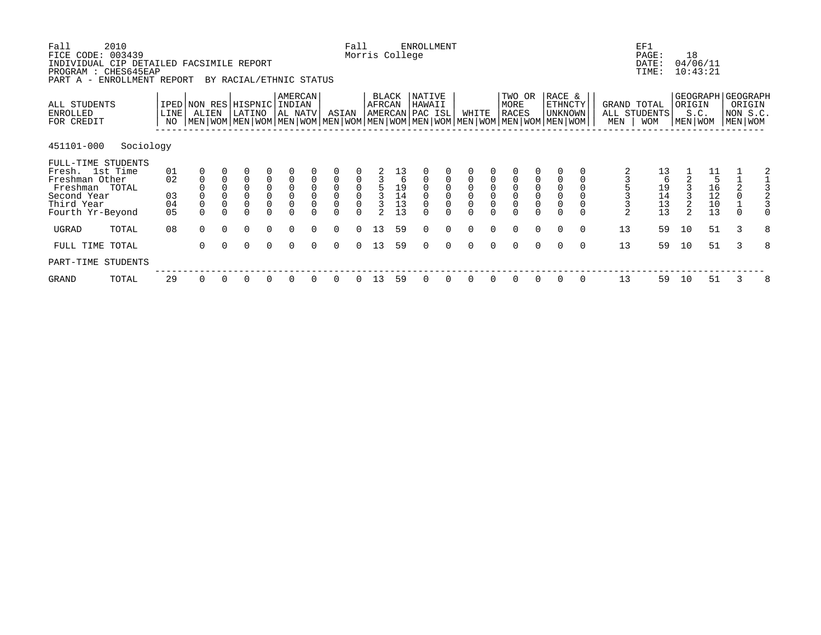| Fall<br>FICE CODE:<br>INDIVIDUAL CIP DETAILED FACSIMILE REPORT<br>PROGRAM : CHES645EAP<br>PART A -                         | 2010<br>003439<br>ENROLLMENT REPORT |                                        |                                                                                                                                              |          | BY RACIAL/ETHNIC STATUS                                              |                                           |                                               |                                        |                                 | Fall                                                         | Morris College                                 |                            | <b>ENROLLMENT</b>                   |                                      |             |                                           |                                                           |                                                 |                                              |          |                    | EF1<br>PAGE:<br>DATE:<br>TIME:          | 18                | 04/06/11<br>10:43:21                                           |                                                    |   |
|----------------------------------------------------------------------------------------------------------------------------|-------------------------------------|----------------------------------------|----------------------------------------------------------------------------------------------------------------------------------------------|----------|----------------------------------------------------------------------|-------------------------------------------|-----------------------------------------------|----------------------------------------|---------------------------------|--------------------------------------------------------------|------------------------------------------------|----------------------------|-------------------------------------|--------------------------------------|-------------|-------------------------------------------|-----------------------------------------------------------|-------------------------------------------------|----------------------------------------------|----------|--------------------|-----------------------------------------|-------------------|----------------------------------------------------------------|----------------------------------------------------|---|
| ALL STUDENTS<br>ENROLLED<br>FOR CREDIT                                                                                     |                                     | LINE<br>NO                             | IPED NON RES HISPNIC<br>ALIEN<br>  MEN   WOM   MEN   WOM   MEN   WOM   MEN   WOM   MEN   WOM   MEN   WOM   MEN   WOM   MEN   WOM   MEN   WOM |          | LATINO                                                               |                                           | <b>AMERCAN</b><br>INDIAN<br>AL NATV           |                                        | ASIAN                           |                                                              | BLACK<br>AFRCAN                                |                            | NATIVE<br>HAWAII<br>AMERCAN PAC ISL |                                      | WHITE       |                                           | TWO OR<br>MORE<br>RACES                                   |                                                 | RACE &<br>ETHNCTY<br>UNKNOWN                 |          | GRAND TOTAL<br>MEN | ALL STUDENTS<br><b>WOM</b>              | ORIGIN<br>MEN WOM | S.C.                                                           | GEOGRAPH GEOGRAPH<br>ORIGIN<br>NON S.C.<br>MEN WOM |   |
| 451101-000                                                                                                                 | Sociology                           |                                        |                                                                                                                                              |          |                                                                      |                                           |                                               |                                        |                                 |                                                              |                                                |                            |                                     |                                      |             |                                           |                                                           |                                                 |                                              |          |                    |                                         |                   |                                                                |                                                    |   |
| FULL-TIME STUDENTS<br>Fresh. 1st Time<br>Freshman Other<br>Freshman TOTAL<br>Second Year<br>Third Year<br>Fourth Yr-Beyond |                                     | 01<br>02<br>03<br>04<br>0 <sub>5</sub> | $\mathbf 0$                                                                                                                                  | $\Omega$ | $\overline{0}$<br>$\Omega$<br>$\overline{0}$<br>$\Omega$<br>$\Omega$ | $\begin{matrix} 0 \\ 0 \\ 0 \end{matrix}$ | $\mathsf{O}$<br>$\overline{0}$<br>$\mathsf 0$ | $\mathbf 0$<br>$\mathbf 0$<br>$\Omega$ | $\mathsf{O}\xspace$<br>$\Omega$ | $\mathsf{O}\xspace$<br>$\overline{0}$<br>$\mathsf{O}\xspace$ | $\mathsf 3$<br>$\overline{3}$<br>$\mathcal{D}$ | $19$<br>$14$<br>$13$<br>13 | $\Omega$                            | $\begin{matrix} 0 \\ 0 \end{matrix}$ | $\mathbf 0$ | $\mathbf 0$<br>$\overline{0}$<br>$\Omega$ | $\mathsf{O}$<br>$\overline{0}$<br>$\mathsf 0$<br>$\Omega$ | 0<br>$\mathsf{O}\xspace$<br>$\mathsf{O}\xspace$ | $\overline{0}$<br>$\mathsf 0$<br>$\mathsf 0$ |          | $\overline{a}$     | 13<br>6<br>$19$<br>$14$<br>$13$<br>$13$ | 3                 | $\begin{array}{c} 11 \\ 5 \end{array}$<br>16<br>12<br>10<br>13 | $\mathsf 0$<br>$\Omega$                            |   |
| UGRAD                                                                                                                      | TOTAL                               | 08                                     | $\Omega$                                                                                                                                     | $\Omega$ | $\Omega$                                                             | $\Omega$                                  | $\Omega$                                      | $\Omega$                               | $\Omega$                        | $\Omega$                                                     | 13                                             | 59                         | $\Omega$                            | $\Omega$                             | $\Omega$    | $\Omega$                                  | $\Omega$                                                  | $\Omega$                                        | $\Omega$                                     | $\Omega$ | 13                 | 59                                      | 10                | 51                                                             | 3                                                  | 8 |
| FULL TIME TOTAL                                                                                                            |                                     |                                        | $\Omega$                                                                                                                                     | $\Omega$ | $\Omega$                                                             | $\Omega$                                  | $\Omega$                                      | $\Omega$                               | $\Omega$                        | $\Omega$                                                     | 13                                             | 59                         | $\Omega$                            | $\Omega$                             | $\cap$      | $\cap$                                    | $\Omega$                                                  | $\Omega$                                        | $\Omega$                                     | $\Omega$ | 13                 | 59                                      | 10                | 51                                                             | $\mathcal{L}$                                      | 8 |
| PART-TIME STUDENTS                                                                                                         |                                     |                                        |                                                                                                                                              |          |                                                                      |                                           |                                               |                                        |                                 |                                                              |                                                |                            |                                     |                                      |             |                                           |                                                           |                                                 |                                              |          |                    |                                         |                   |                                                                |                                                    |   |
| GRAND                                                                                                                      | TOTAL                               | 29                                     | 0                                                                                                                                            |          | 0                                                                    |                                           |                                               |                                        |                                 |                                                              | 13                                             | 59                         |                                     |                                      |             |                                           | 0                                                         |                                                 | 0                                            | 0        | 13                 | 59                                      | 10                | 51                                                             | 3                                                  | 8 |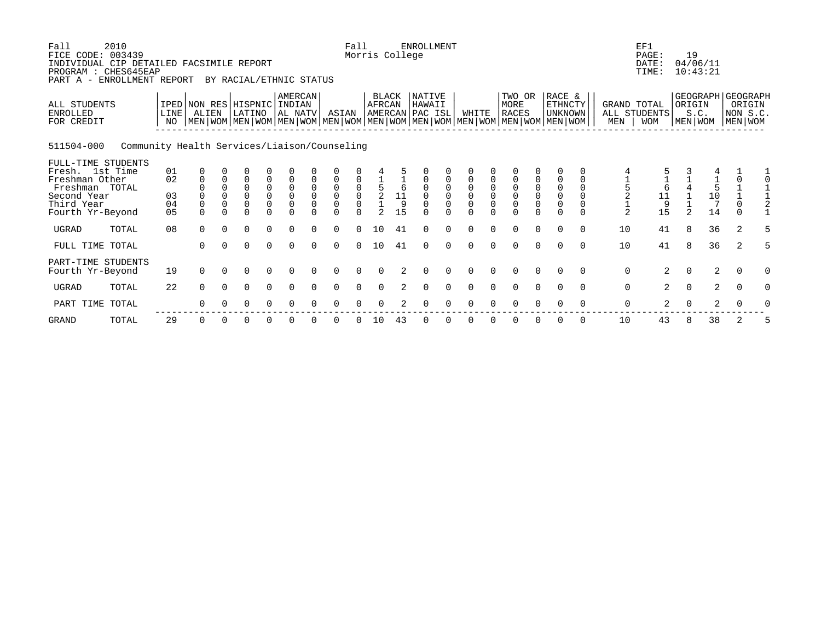| Fall<br>2010<br>FICE CODE: 003439<br>INDIVIDUAL CIP DETAILED FACSIMILE REPORT<br>PROGRAM : CHES645EAP<br>PART A - ENROLLMENT REPORT |                                              |                                    |                                        |                                  | BY RACIAL/ETHNIC STATUS                          |                                                            |                                                          |                                                          |                                                                                                                      | Fall                 | Morris College         |                      | <b>ENROLLMENT</b>                                   |                                                            |                                                                      |                                           |                                                       |                                                            |                                                             |                                                           |                  | EF1<br>PAGE:<br>DATE:<br>TIME:            | 19                   | 04/06/11<br>10:43:21                                  |                      |                                                        |
|-------------------------------------------------------------------------------------------------------------------------------------|----------------------------------------------|------------------------------------|----------------------------------------|----------------------------------|--------------------------------------------------|------------------------------------------------------------|----------------------------------------------------------|----------------------------------------------------------|----------------------------------------------------------------------------------------------------------------------|----------------------|------------------------|----------------------|-----------------------------------------------------|------------------------------------------------------------|----------------------------------------------------------------------|-------------------------------------------|-------------------------------------------------------|------------------------------------------------------------|-------------------------------------------------------------|-----------------------------------------------------------|------------------|-------------------------------------------|----------------------|-------------------------------------------------------|----------------------|--------------------------------------------------------|
| ALL STUDENTS<br><b>ENROLLED</b><br>FOR CREDIT                                                                                       |                                              | IPED NON RES HISPNIC<br>LINE<br>NO | ALIEN                                  |                                  | LATINO                                           |                                                            | AMERCAN<br>INDIAN<br>AL NATV                             |                                                          | ASIAN<br>  MEN   WOM   MEN   WOM   MEN   WOM   MEN   WOM   MEN   WOM   MEN   WOM   MEN   WOM   MEN   WOM   MEN   WOM |                      | <b>BLACK</b><br>AFRCAN |                      | <b>NATIVE</b><br>HAWAII<br>AMERCAN PAC ISL          |                                                            | WHITE                                                                |                                           | TWO OR<br>MORE<br>RACES                               |                                                            | RACE &<br><b>ETHNCTY</b><br>  unknown                       |                                                           | MEN              | GRAND TOTAL<br>ALL STUDENTS<br><b>WOM</b> | ORIGIN               | S.C.<br>MEN WOM                                       |                      | GEOGRAPH GEOGRAPH<br>ORIGIN<br>NON S.C.<br>  MEN   WOM |
| 511504-000                                                                                                                          | Community Health Services/Liaison/Counseling |                                    |                                        |                                  |                                                  |                                                            |                                                          |                                                          |                                                                                                                      |                      |                        |                      |                                                     |                                                            |                                                                      |                                           |                                                       |                                                            |                                                             |                                                           |                  |                                           |                      |                                                       |                      |                                                        |
| FULL-TIME STUDENTS<br>Fresh. 1st Time<br>Freshman Other<br>Freshman TOTAL<br>Second Year<br>Third Year<br>Fourth Yr-Beyond          |                                              | 01<br>02<br>03<br>04<br>05         | $\mathbf 0$<br>$\mathsf 0$<br>$\Omega$ | 0<br>$\mathbf 0$<br>$\mathsf{O}$ | 0<br>$\mathbf 0$<br>$\mathsf 0$<br>0<br>$\Omega$ | $\begin{matrix} 0 \\ 0 \\ 0 \\ 0 \end{matrix}$<br>$\Omega$ | $\mathsf 0$<br>$\mathsf 0$<br>$\overline{0}$<br>$\Omega$ | 0<br>$\mathbf 0$<br>$\mathbf 0$<br>$\mathsf 0$<br>$\cap$ | 0<br>$\begin{matrix}0\\0\\0\end{matrix}$<br>$\Omega$                                                                 | 0000<br>$\cap$       | 415212                 | $\frac{11}{9}$<br>15 | $\begin{matrix} 0 \\ 0 \\ 0 \end{matrix}$<br>$\cap$ | $\begin{matrix} 0 \\ 0 \\ 0 \\ 0 \end{matrix}$<br>$\Omega$ | $\mathsf 0$<br>$\begin{matrix} 0 \\ 0 \\ 0 \end{matrix}$<br>$\Omega$ | $\mathbf 0$<br>$\mathbf 0$<br>$\mathsf 0$ | $\begin{matrix} 0 \\ 0 \\ 0 \end{matrix}$<br>$\Omega$ | $\begin{matrix} 0 \\ 0 \\ 0 \\ 0 \end{matrix}$<br>$\Omega$ | $\mathsf 0$<br>$\overline{0}$<br>$\overline{0}$<br>$\Omega$ | $\Omega$<br>$\mathbf{0}$<br>$\mathbf{0}$<br>0<br>$\Omega$ |                  | $\frac{1}{6}$<br>$\frac{1}{9}$<br>15      | 2                    | 4<br>$\begin{matrix} 1 \\ 5 \\ 10 \end{matrix}$<br>14 | 0<br>$\cap$          | $\overline{0}$                                         |
| UGRAD<br>TOTAL                                                                                                                      |                                              | 08                                 | $\Omega$                               | $\Omega$                         | $\Omega$                                         | $\Omega$                                                   | $\Omega$                                                 | $\Omega$                                                 | $\Omega$                                                                                                             | $\Omega$             | 10                     | 41                   | $\Omega$                                            | $\Omega$                                                   | $\Omega$                                                             | $\Omega$                                  | $\Omega$                                              | $\Omega$                                                   | $\Omega$                                                    | $\Omega$                                                  | 10               | 41                                        | 8                    | 36                                                    | 2                    | 5                                                      |
| FULL TIME TOTAL                                                                                                                     |                                              |                                    | $\Omega$                               |                                  | $\Omega$                                         | $\Omega$                                                   | $\Omega$                                                 | $\Omega$                                                 | $\Omega$                                                                                                             | $\Omega$             | 10                     | 41                   | $\Omega$                                            | $\Omega$                                                   | $\Omega$                                                             | $\Omega$                                  | $\Omega$                                              | $\Omega$                                                   | $\Omega$                                                    | $\Omega$                                                  | 10               | 41                                        | 8                    | 36                                                    | 2                    |                                                        |
| PART-TIME STUDENTS<br>Fourth Yr-Beyond<br><b>UGRAD</b><br>TOTAL                                                                     |                                              | 19<br>22                           | $\Omega$<br>$\Omega$                   | $\Omega$                         | $\Omega$                                         | $\Omega$<br>$\Omega$                                       | $\Omega$<br>$\Omega$                                     |                                                          | $\Omega$                                                                                                             | $\Omega$<br>$\Omega$ | $\Omega$<br>$\Omega$   |                      | ∩<br>$\Omega$                                       | $\Omega$<br>$\Omega$                                       | $\Omega$<br>$\Omega$                                                 | $\Omega$<br>$\Omega$                      | $\Omega$<br>$\Omega$                                  | $\Omega$<br>$\Omega$                                       | $\Omega$<br>$\Omega$                                        | $\Omega$<br>$\Omega$                                      | 0<br>$\mathbf 0$ | $\overline{2}$<br>2                       | $\Omega$<br>$\Omega$ | 2<br>$\overline{2}$                                   | $\Omega$<br>$\Omega$ | $\Omega$<br>$\Omega$                                   |
| PART TIME TOTAL                                                                                                                     |                                              |                                    |                                        |                                  |                                                  |                                                            |                                                          |                                                          |                                                                                                                      |                      |                        |                      | ∩                                                   |                                                            | $\Omega$                                                             |                                           | $\Omega$                                              | 0                                                          | ∩                                                           |                                                           | 0                | 2                                         | $\Omega$             | 2                                                     |                      |                                                        |
|                                                                                                                                     |                                              |                                    |                                        |                                  |                                                  |                                                            |                                                          |                                                          |                                                                                                                      |                      |                        |                      |                                                     |                                                            |                                                                      |                                           |                                                       |                                                            |                                                             |                                                           |                  |                                           |                      |                                                       |                      |                                                        |

GRAND TOTAL 29 0 0 0 0 0 0 0 0 10 43 0 0 0 0 0 0 0 0 10 43 8 38 2 5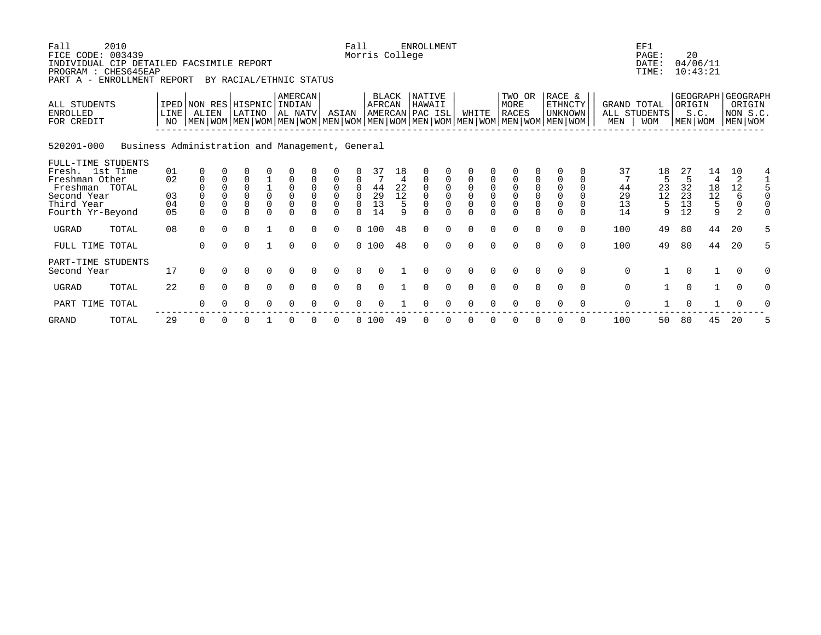| Fall<br>2010<br>FICE CODE: 003439<br>INDIVIDUAL CIP DETAILED FACSIMILE REPORT<br>PROGRAM : CHES645EAP<br>ENROLLMENT REPORT<br>PART A - |                                                 |                                      |                      | BY RACIAL/ETHNIC STATUS                      |                                        |                                                 |                                     |                                                                      | Fall                                                      | Morris College                    |                          | <b>ENROLLMENT</b>                   |               |                                   |               |                                                                                                                                        |                       |                                                    |          |                            | EF1<br>PAGE:<br>DATE:<br>TIME: | 20                         | 04/06/11<br>10:43:21                                    |                         |          |
|----------------------------------------------------------------------------------------------------------------------------------------|-------------------------------------------------|--------------------------------------|----------------------|----------------------------------------------|----------------------------------------|-------------------------------------------------|-------------------------------------|----------------------------------------------------------------------|-----------------------------------------------------------|-----------------------------------|--------------------------|-------------------------------------|---------------|-----------------------------------|---------------|----------------------------------------------------------------------------------------------------------------------------------------|-----------------------|----------------------------------------------------|----------|----------------------------|--------------------------------|----------------------------|---------------------------------------------------------|-------------------------|----------|
| <b>ALL STUDENTS</b><br><b>ENROLLED</b><br>FOR CREDIT                                                                                   | LINE<br>NO.                                     | IPED NON RES HISPNIC INDIAN<br>ALIEN |                      | LATINO                                       |                                        | AL NATV                                         | AMERCAN                             | ASIAN                                                                |                                                           | AFRCAN                            | <b>BLACK</b>             | NATIVE<br>HAWAII<br>AMERCAN PAC ISL |               | WHITE                             |               | TWO OR<br>MORE<br>RACES<br>  MEN   WOM   MEN   WOM   MEN   WOM   MEN   WOM   MEN   WOM   MEN   WOM   MEN   WOM   MEN   WOM   MEN   WOM |                       | RACE &<br><b>ETHNCTY</b><br>UNKNOWN                |          | GRAND TOTAL<br>MEN         | ALL STUDENTS<br><b>WOM</b>     | ORIGIN<br>MEN WOM          | GEOGRAPH   GEOGRAPH<br>S.C.                             | NON S.C.<br>MEN WOM     | ORIGIN   |
| 520201-000                                                                                                                             | Business Administration and Management, General |                                      |                      |                                              |                                        |                                                 |                                     |                                                                      |                                                           |                                   |                          |                                     |               |                                   |               |                                                                                                                                        |                       |                                                    |          |                            |                                |                            |                                                         |                         |          |
| FULL-TIME STUDENTS<br>Fresh. 1st Time<br>Freshman Other<br>Freshman TOTAL<br>Second Year<br>Third Year<br>Fourth Yr-Beyond             | 01<br>02<br>03<br>04<br>05                      | $\Omega$<br>$\Omega$<br>$\Omega$     | $\Omega$<br>$\Omega$ | $\Omega$<br>$\Omega$<br>$\Omega$<br>$\Omega$ | $\frac{1}{0}$<br>$\mathbf 0$<br>$\cap$ | $\Omega$<br>$\mathsf 0$<br>$\Omega$<br>$\Omega$ | $\Omega$<br>$\mathbf 0$<br>$\Omega$ | $\Omega$<br>$\overline{0}$<br>$\overline{0}$<br>$\Omega$<br>$\Omega$ | $\Omega$<br>$\boldsymbol{0}$<br>0<br>$\Omega$<br>$\Omega$ | 37<br>$\frac{44}{29}$<br>13<br>14 | 18<br>22<br>12<br>5<br>q | $\Omega$<br>0<br>$\Omega$           | 0<br>$\Omega$ | $\mathbf 0$<br>$\Omega$<br>$\cap$ | $\Omega$<br>0 | $\overline{0}$<br>$\mathsf 0$<br>$\cap$                                                                                                | $\mathbf 0$<br>$\cap$ | $\Omega$<br>$\overline{0}$<br>$\Omega$<br>$\Omega$ | $\Omega$ | 37<br>44<br>29<br>13<br>14 | 18<br>$^{23}_{12}$<br>5<br>9   | 27<br>32<br>23<br>13<br>12 | 14<br>$\begin{array}{c} 18 \\ 12 \end{array}$<br>5<br>9 | 10<br>2<br>12<br>6<br>2 | O        |
| <b>UGRAD</b><br>TOTAL                                                                                                                  | 08                                              | $\Omega$                             |                      | $\Omega$                                     |                                        | $\Omega$                                        | <sup>n</sup>                        | $\Omega$                                                             |                                                           | 0, 100                            | 48                       | $\Omega$                            | $\Omega$      | $\Omega$                          |               | $\Omega$                                                                                                                               |                       | $\Omega$                                           | $\cap$   | 100                        | 49                             | 80                         | 44                                                      | 20                      | 5        |
| FULL TIME TOTAL                                                                                                                        |                                                 | $\Omega$                             | $\cap$               | $\Omega$                                     |                                        | $\Omega$                                        | $\Omega$                            | $\Omega$                                                             |                                                           | 0 100                             | 48                       | $\Omega$                            | $\Omega$      | $\Omega$                          | $\cap$        | $\Omega$                                                                                                                               | $\cap$                | $\Omega$                                           | $\cap$   | 100                        | 49                             | 80                         | 44                                                      | 20                      | 5        |
| PART-TIME STUDENTS<br>Second Year                                                                                                      | 17                                              | $\Omega$                             | $\cap$               | $\Omega$                                     | $\Omega$                               | $\Omega$                                        | $\Omega$                            | $\Omega$                                                             | $\Omega$                                                  | $\Omega$                          |                          | $\Omega$                            | $\Omega$      | $\Omega$                          | $\cap$        | $\Omega$                                                                                                                               | $\Omega$              | $\Omega$                                           | $\cap$   | $\Omega$                   | $\mathbf{1}$                   | $\Omega$                   | $\mathbf{1}$                                            | $\Omega$                | $\Omega$ |
| <b>UGRAD</b><br>TOTAL                                                                                                                  | 22                                              | $\Omega$                             | $\Omega$             | $\Omega$                                     | $\Omega$                               | $\Omega$                                        | $\Omega$                            | $\Omega$                                                             | $\Omega$                                                  | $\Omega$                          |                          | $\Omega$                            | $\Omega$      | $\Omega$                          |               | $\Omega$                                                                                                                               | $\Omega$              | $\Omega$                                           | $\Omega$ | $\mathbf 0$                | $\mathbf{1}$                   | $\Omega$                   |                                                         | $\Omega$                | $\Omega$ |
| PART TIME<br>TOTAL                                                                                                                     |                                                 |                                      |                      |                                              |                                        | $\Omega$                                        |                                     | <sup>0</sup>                                                         | O                                                         | <sup>0</sup>                      |                          | $\Omega$                            | 0             | $\Omega$                          |               | <sup>n</sup>                                                                                                                           |                       |                                                    |          | $\Omega$                   |                                | $\Omega$                   |                                                         |                         |          |
|                                                                                                                                        |                                                 |                                      |                      |                                              |                                        |                                                 |                                     |                                                                      |                                                           |                                   |                          |                                     |               |                                   |               |                                                                                                                                        |                       |                                                    |          |                            |                                |                            |                                                         |                         |          |

GRAND TOTAL 29 0 0 0 1 0 0 0 0 100 49 0 0 0 0 0 0 0 0 100 50 80 45 20 5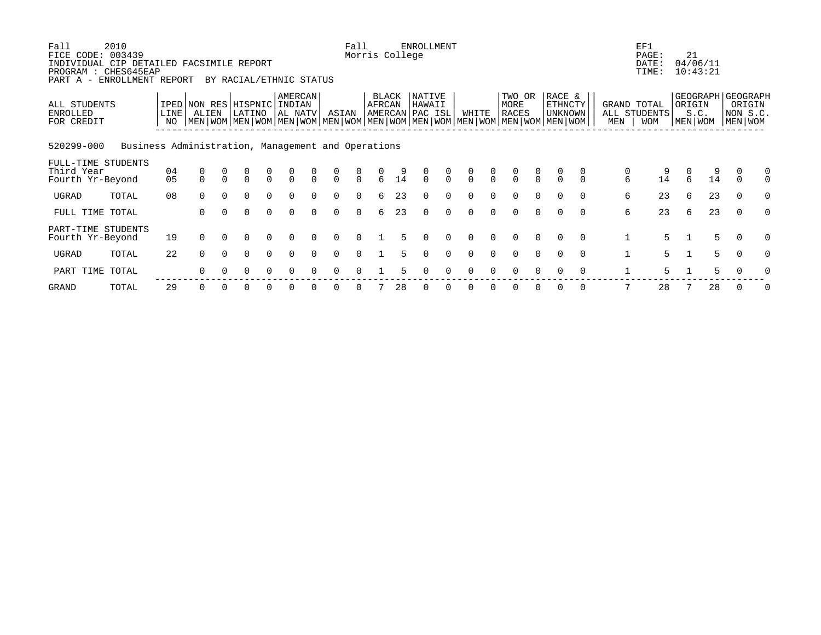| Fall<br>2010<br>FICE CODE: 003439<br>INDIVIDUAL CIP DETAILED FACSIMILE REPORT<br>PROGRAM : CHES645EAP<br>ENROLLMENT REPORT<br>PART A - |                   |                                                                                                                                              |          | BY RACIAL/ETHNIC STATUS |                                      |                              |          |          | Fall<br>Morris College |               |       | ENROLLMENT                                 |                                  |               |               |                                  |                                      |                                            |          |              | EF1<br>PAGE:<br>DATE:<br>TIME:            | 21     | 04/06/11<br>10:43:21 |                                                      |               |
|----------------------------------------------------------------------------------------------------------------------------------------|-------------------|----------------------------------------------------------------------------------------------------------------------------------------------|----------|-------------------------|--------------------------------------|------------------------------|----------|----------|------------------------|---------------|-------|--------------------------------------------|----------------------------------|---------------|---------------|----------------------------------|--------------------------------------|--------------------------------------------|----------|--------------|-------------------------------------------|--------|----------------------|------------------------------------------------------|---------------|
| ALL STUDENTS<br>ENROLLED<br>FOR CREDIT                                                                                                 | <b>LINE</b><br>NO | IPED NON RES HISPNIC<br>ALIEN<br>  MEN   WOM   MEN   WOM   MEN   WOM   MEN   WOM   MEN   WOM   MEN   WOM   MEN   WOM   MEN   WOM   MEN   WOM |          | LATINO                  |                                      | AMERCAN<br>INDIAN<br>AL NATV |          | ASIAN    |                        | <b>AFRCAN</b> | BLACK | <b>NATIVE</b><br>HAWAII<br>AMERCAN PAC ISL |                                  | WHITE         |               | TWO OR<br>MORE<br><b>RACES</b>   |                                      | RACE &<br><b>ETHNCTY</b><br><b>UNKNOWN</b> |          | MEN          | GRAND TOTAL<br>ALL STUDENTS<br><b>WOM</b> | ORIGIN | S.C.<br>MEN WOM      | GEOGRAPH   GEOGRAPH<br>ORIGIN<br>NON S.C.<br>MEN WOM |               |
| 520299-000<br>Business Administration, Management and Operations                                                                       |                   |                                                                                                                                              |          |                         |                                      |                              |          |          |                        |               |       |                                            |                                  |               |               |                                  |                                      |                                            |          |              |                                           |        |                      |                                                      |               |
| FULL-TIME STUDENTS<br>Third Year<br>Fourth Yr-Beyond                                                                                   | 04<br>05          | 0<br>$\Omega$                                                                                                                                | $\Omega$ | $\Omega$                | $\begin{matrix} 0 \\ 0 \end{matrix}$ | $\frac{0}{0}$                | $\Omega$ | $\Omega$ | 0<br>$\Omega$          | $\epsilon$    | 14    | $\Omega$                                   | $\begin{matrix}0\\0\end{matrix}$ | $\frac{0}{0}$ | $\frac{0}{0}$ | $\begin{matrix}0\\0\end{matrix}$ | $\begin{matrix} 0 \\ 0 \end{matrix}$ | $\Omega$                                   | $\Omega$ | 0<br>6       | 9<br>14                                   | 6      | 14                   | 0<br>$\Omega$                                        | 0<br>$\Omega$ |
| UGRAD<br>TOTAL                                                                                                                         | 08                | $\Omega$                                                                                                                                     | $\Omega$ | $\Omega$                | $\Omega$                             | $\Omega$                     | $\Omega$ | $\Omega$ | $\Omega$               | 6             | 23    | $\Omega$                                   | $\Omega$                         | $\Omega$      | $\Omega$      | $\Omega$                         | $\Omega$                             | $\Omega$                                   | $\Omega$ | 6            | 23                                        | 6      | 23                   | $\Omega$                                             | $\Omega$      |
| FULL TIME TOTAL                                                                                                                        |                   | 0                                                                                                                                            |          |                         | $\Omega$                             | $\Omega$                     |          |          | $\Omega$               | 6             | 23    |                                            | $\Omega$                         |               |               |                                  |                                      |                                            | $\Omega$ | 6            | 23                                        | 6      | 23                   | $\Omega$                                             |               |
| PART-TIME STUDENTS<br>Fourth Yr-Beyond                                                                                                 | 19                | $\Omega$                                                                                                                                     |          |                         |                                      |                              |          |          |                        |               |       |                                            |                                  | U             |               |                                  |                                      | $\Omega$                                   | $\Omega$ | $\mathbf{1}$ | 5.                                        |        | 5                    | $\Omega$                                             |               |
| UGRAD<br>TOTAL                                                                                                                         | 22                | $\Omega$                                                                                                                                     | $\Omega$ | $\Omega$                | $\Omega$                             | $\Omega$                     | $\Omega$ | $\Omega$ | $\Omega$               |               |       | $\Omega$                                   | $\Omega$                         | $\Omega$      | $\Omega$      | $\Omega$                         | $\Omega$                             | $\Omega$                                   | $\Omega$ | 1            | 5                                         |        | 5                    | 0                                                    | $\Omega$      |
| PART TIME TOTAL                                                                                                                        |                   |                                                                                                                                              |          |                         |                                      |                              |          |          |                        |               |       |                                            |                                  |               |               |                                  |                                      |                                            |          |              | 5.                                        |        | 5                    |                                                      |               |

GRAND TOTAL 29 0 0 0 0 0 0 0 0 7 28 0 0 0 0 0 0 0 0 7 28 7 28 0 0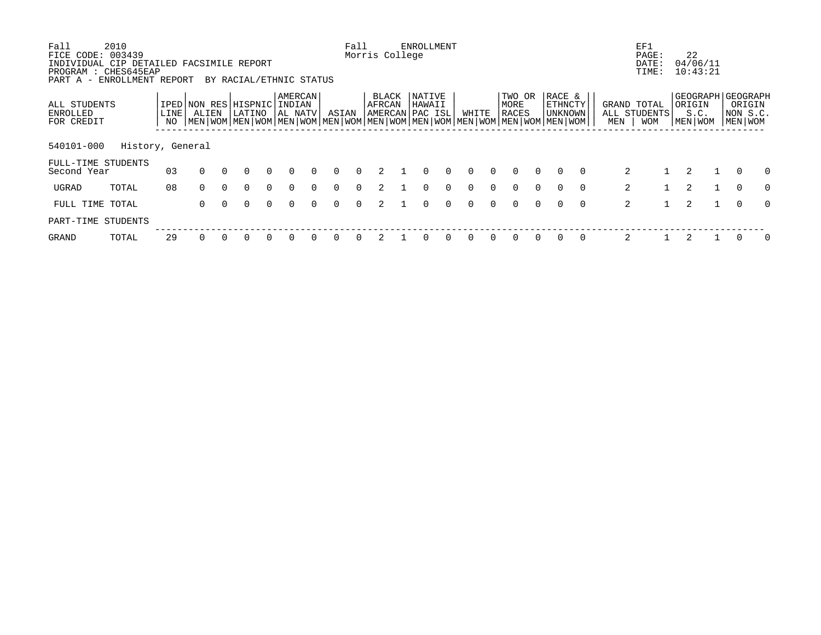| Fall<br>2010                                                  |                  |          |          |                                                                                                           |          |          |          |          | Fall     |                 | <b>ENROLLMENT</b> |          |          |        |          |          |                |          |     | EF1            |                     |          |              |
|---------------------------------------------------------------|------------------|----------|----------|-----------------------------------------------------------------------------------------------------------|----------|----------|----------|----------|----------|-----------------|-------------------|----------|----------|--------|----------|----------|----------------|----------|-----|----------------|---------------------|----------|--------------|
| FICE CODE: 003439<br>INDIVIDUAL CIP DETAILED FACSIMILE REPORT |                  |          |          |                                                                                                           |          |          |          |          |          | Morris College  |                   |          |          |        |          |          |                |          |     | PAGE:<br>DATE: | 22<br>04/06/11      |          |              |
| PROGRAM : CHES645EAP                                          |                  |          |          |                                                                                                           |          |          |          |          |          |                 |                   |          |          |        |          |          |                |          |     | TIME:          | 10:43:21            |          |              |
| PART A - ENROLLMENT REPORT                                    |                  |          |          | BY RACIAL/ETHNIC STATUS                                                                                   |          |          |          |          |          |                 |                   |          |          |        |          |          |                |          |     |                |                     |          |              |
|                                                               |                  |          |          |                                                                                                           |          | AMERCAN  |          |          |          | BLACK           | NATIVE            |          |          |        | TWO OR   |          | RACE &         |          |     |                | GEOGRAPH   GEOGRAPH |          |              |
| ALL STUDENTS                                                  |                  |          |          | IPED NON RES HISPNIC                                                                                      |          | INDIAN   |          |          |          | AFRCAN          | HAWAII            |          |          |        | MORE     |          | <b>ETHNCTY</b> |          |     | GRAND TOTAL    | ORIGIN              |          | ORIGIN       |
| ENROLLED                                                      | LINE <sup></sup> | ALIEN    |          | LATINO                                                                                                    |          | AL NATV  |          | ASIAN    |          | AMERCAN PAC ISL |                   |          | WHITE    |        | RACES    |          | UNKNOWN        |          |     | ALL STUDENTS   | S.C.                |          | NON S.C.     |
| FOR CREDIT                                                    | NO.              |          |          | MEN   WOM   MEN   WOM   MEN   WOM   MEN   WOM   MEN   WOM   MEN   WOM   MEN   WOM   MEN   WOM   MEN   WOM |          |          |          |          |          |                 |                   |          |          |        |          |          |                |          | MEN | <b>WOM</b>     | MEN WOM             | MEN WOM  |              |
|                                                               |                  |          |          |                                                                                                           |          |          |          |          |          |                 |                   |          |          |        |          |          |                |          |     |                |                     |          |              |
| 540101-000<br>History, General                                |                  |          |          |                                                                                                           |          |          |          |          |          |                 |                   |          |          |        |          |          |                |          |     |                |                     |          |              |
| FULL-TIME STUDENTS                                            |                  |          |          |                                                                                                           |          |          |          |          |          |                 |                   |          |          |        |          |          |                |          |     |                |                     |          |              |
| Second Year                                                   | 03               | $\Omega$ |          | $\Omega$                                                                                                  | $\Omega$ | $\Omega$ | $\Omega$ | $\Omega$ | $\Omega$ |                 | $\Omega$          | $\Omega$ | $\Omega$ | $\cap$ | $\Omega$ | $\Omega$ | $\cap$         | $\Omega$ |     | 2              | $\mathcal{L}$       |          | 0            |
| UGRAD<br>TOTAL                                                | 08               | $\Omega$ | $\Omega$ | $\Omega$                                                                                                  | $\Omega$ | $\Omega$ | $\Omega$ | $\Omega$ | $\Omega$ |                 | $\Omega$          | $\Omega$ | $\cap$   | $\cap$ | $\Omega$ | $\cap$   | $\cap$         | $\Omega$ |     | 2              | $\mathfrak{D}$      | $\Omega$ | $\Omega$     |
| FULL TIME<br>TOTAL                                            |                  | $\Omega$ | $\Omega$ | $\Omega$                                                                                                  | $\Omega$ | $\Omega$ | $\cap$   | $\Omega$ | $\Omega$ |                 | $\Omega$          | $\Omega$ | $\cap$   | $\cap$ | $\Omega$ | $\cap$   | $\Omega$       | $\Omega$ |     | 2              | 2                   | $\Omega$ | $\Omega$     |
| PART-TIME STUDENTS                                            |                  |          |          |                                                                                                           |          |          |          |          |          |                 |                   |          |          |        |          |          |                |          |     |                |                     |          |              |
| GRAND<br>TOTAL                                                | 29               |          |          |                                                                                                           |          | $\Omega$ |          |          |          |                 |                   |          |          |        |          |          |                | $\Omega$ |     | 2              |                     |          | <sup>0</sup> |